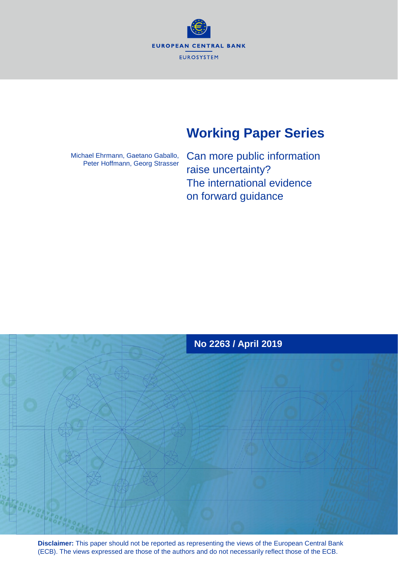**EUROPEAN CENTRAL BANK EUROSYSTEM** 

# **Working Paper Series**

Michael Ehrmann, Gaetano Gaballo, Peter Hoffmann, Georg Strasser Can more public information raise uncertainty? The international evidence on forward guidance



**Disclaimer:** This paper should not be reported as representing the views of the European Central Bank (ECB). The views expressed are those of the authors and do not necessarily reflect those of the ECB.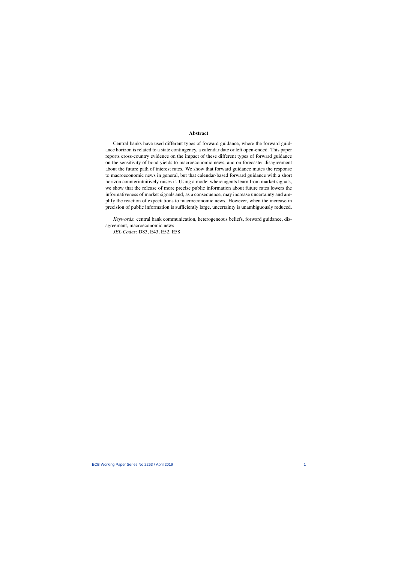### Abstract

Central banks have used different types of forward guidance, where the forward guidance horizon is related to a state contingency, a calendar date or left open-ended. This paper reports cross-country evidence on the impact of these different types of forward guidance on the sensitivity of bond yields to macroeconomic news, and on forecaster disagreement about the future path of interest rates. We show that forward guidance mutes the response to macroeconomic news in general, but that calendar-based forward guidance with a short horizon counterintuitively raises it. Using a model where agents learn from market signals, we show that the release of more precise public information about future rates lowers the informativeness of market signals and, as a consequence, may increase uncertainty and amplify the reaction of expectations to macroeconomic news. However, when the increase in precision of public information is sufficiently large, uncertainty is unambiguously reduced.

*Keywords*: central bank communication, heterogeneous beliefs, forward guidance, disagreement, macroeconomic news

*JEL Codes*: D83, E43, E52, E58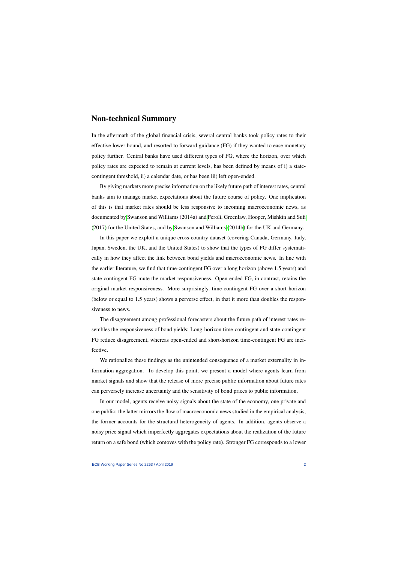## Non-technical Summary

In the aftermath of the global financial crisis, several central banks took policy rates to their effective lower bound, and resorted to forward guidance (FG) if they wanted to ease monetary policy further. Central banks have used different types of FG, where the horizon, over which policy rates are expected to remain at current levels, has been defined by means of i) a statecontingent threshold, ii) a calendar date, or has been iii) left open-ended.

By giving markets more precise information on the likely future path of interest rates, central banks aim to manage market expectations about the future course of policy. One implication of this is that market rates should be less responsive to incoming macroeconomic news, as documented by [Swanson and Williams](#page-36-0) [\(2014a\)](#page-36-0) and [Feroli, Greenlaw, Hooper, Mishkin and Sufi](#page-36-1) [\(2017\)](#page-36-1) for the United States, and by [Swanson and Williams](#page-36-2) [\(2014b\)](#page-36-2) for the UK and Germany.

In this paper we exploit a unique cross-country dataset (covering Canada, Germany, Italy, Japan, Sweden, the UK, and the United States) to show that the types of FG differ systematically in how they affect the link between bond yields and macroeconomic news. In line with the earlier literature, we find that time-contingent FG over a long horizon (above 1.5 years) and state-contingent FG mute the market responsiveness. Open-ended FG, in contrast, retains the original market responsiveness. More surprisingly, time-contingent FG over a short horizon (below or equal to 1.5 years) shows a perverse effect, in that it more than doubles the responsiveness to news.

The disagreement among professional forecasters about the future path of interest rates resembles the responsiveness of bond yields: Long-horizon time-contingent and state-contingent FG reduce disagreement, whereas open-ended and short-horizon time-contingent FG are ineffective.

We rationalize these findings as the unintended consequence of a market externality in information aggregation. To develop this point, we present a model where agents learn from market signals and show that the release of more precise public information about future rates can perversely increase uncertainty and the sensitivity of bond prices to public information.

In our model, agents receive noisy signals about the state of the economy, one private and one public: the latter mirrors the flow of macroeconomic news studied in the empirical analysis, the former accounts for the structural heterogeneity of agents. In addition, agents observe a noisy price signal which imperfectly aggregates expectations about the realization of the future return on a safe bond (which comoves with the policy rate). Stronger FG corresponds to a lower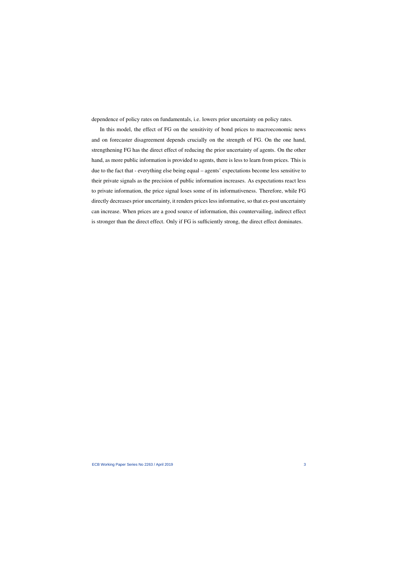dependence of policy rates on fundamentals, i.e. lowers prior uncertainty on policy rates.

In this model, the effect of FG on the sensitivity of bond prices to macroeconomic news and on forecaster disagreement depends crucially on the strength of FG. On the one hand, strengthening FG has the direct effect of reducing the prior uncertainty of agents. On the other hand, as more public information is provided to agents, there is less to learn from prices. This is due to the fact that - everything else being equal – agents' expectations become less sensitive to their private signals as the precision of public information increases. As expectations react less to private information, the price signal loses some of its informativeness. Therefore, while FG directly decreases prior uncertainty, it renders prices less informative, so that ex-post uncertainty can increase. When prices are a good source of information, this countervailing, indirect effect is stronger than the direct effect. Only if FG is sufficiently strong, the direct effect dominates.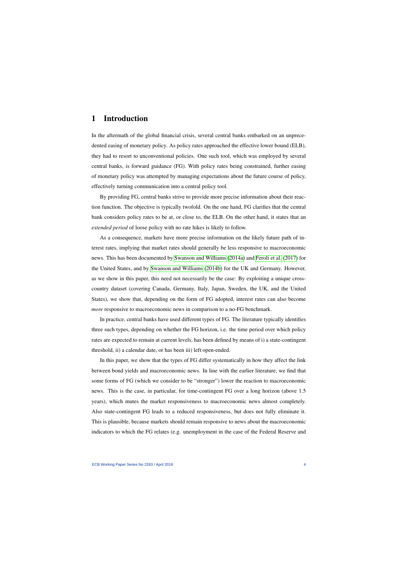## 1 Introduction

In the aftermath of the global financial crisis, several central banks embarked on an unprecedented easing of monetary policy. As policy rates approached the effective lower bound (ELB), they had to resort to unconventional policies. One such tool, which was employed by several central banks, is forward guidance (FG). With policy rates being constrained, further easing of monetary policy was attempted by managing expectations about the future course of policy, effectively turning communication into a central policy tool.

By providing FG, central banks strive to provide more precise information about their reaction function. The objective is typically twofold. On the one hand, FG clarifies that the central bank considers policy rates to be at, or close to, the ELB. On the other hand, it states that an *extended period* of loose policy with no rate hikes is likely to follow.

As a consequence, markets have more precise information on the likely future path of interest rates, implying that market rates should generally be less responsive to macroeconomic news. This has been documented by [Swanson and Williams](#page-36-0) [\(2014a\)](#page-36-0) and [Feroli et al.](#page-36-1) [\(2017\)](#page-36-1) for the United States, and by [Swanson and Williams](#page-36-2) [\(2014b\)](#page-36-2) for the UK and Germany. However, as we show in this paper, this need not necessarily be the case: By exploiting a unique crosscountry dataset (covering Canada, Germany, Italy, Japan, Sweden, the UK, and the United States), we show that, depending on the form of FG adopted, interest rates can also become *more* responsive to macroeconomic news in comparison to a no-FG benchmark.

In practice, central banks have used different types of FG. The literature typically identifies three such types, depending on whether the FG horizon, i.e. the time period over which policy rates are expected to remain at current levels, has been defined by means of i) a state-contingent threshold, ii) a calendar date, or has been iii) left open-ended.

In this paper, we show that the types of FG differ systematically in how they affect the link between bond yields and macroeconomic news. In line with the earlier literature, we find that some forms of FG (which we consider to be "stronger") lower the reaction to macroeconomic news. This is the case, in particular, for time-contingent FG over a long horizon (above 1.5 years), which mutes the market responsiveness to macroeconomic news almost completely. Also state-contingent FG leads to a reduced responsiveness, but does not fully eliminate it. This is plausible, because markets should remain responsive to news about the macroeconomic indicators to which the FG relates (e.g. unemployment in the case of the Federal Reserve and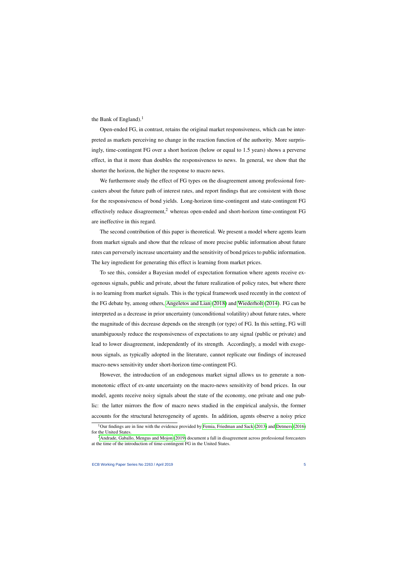the Bank of England).<sup>1</sup>

Open-ended FG, in contrast, retains the original market responsiveness, which can be interpreted as markets perceiving no change in the reaction function of the authority. More surprisingly, time-contingent FG over a short horizon (below or equal to 1.5 years) shows a perverse effect, in that it more than doubles the responsiveness to news. In general, we show that the shorter the horizon, the higher the response to macro news.

We furthermore study the effect of FG types on the disagreement among professional forecasters about the future path of interest rates, and report findings that are consistent with those for the responsiveness of bond yields. Long-horizon time-contingent and state-contingent FG effectively reduce disagreement,<sup>2</sup> whereas open-ended and short-horizon time-contingent FG are ineffective in this regard.

The second contribution of this paper is theoretical. We present a model where agents learn from market signals and show that the release of more precise public information about future rates can perversely increase uncertainty and the sensitivity of bond prices to public information. The key ingredient for generating this effect is learning from market prices.

To see this, consider a Bayesian model of expectation formation where agents receive exogenous signals, public and private, about the future realization of policy rates, but where there is no learning from market signals. This is the typical framework used recently in the context of the FG debate by, among others, [Angeletos and Lian](#page-35-0) [\(2018\)](#page-35-0) and [Wiederholt](#page-36-3) [\(2014\)](#page-36-3). FG can be interpreted as a decrease in prior uncertainty (unconditional volatility) about future rates, where the magnitude of this decrease depends on the strength (or type) of FG. In this setting, FG will unambiguously reduce the responsiveness of expectations to any signal (public or private) and lead to lower disagreement, independently of its strength. Accordingly, a model with exogenous signals, as typically adopted in the literature, cannot replicate our findings of increased macro-news sensitivity under short-horizon time-contingent FG.

However, the introduction of an endogenous market signal allows us to generate a nonmonotonic effect of ex-ante uncertainty on the macro-news sensitivity of bond prices. In our model, agents receive noisy signals about the state of the economy, one private and one public: the latter mirrors the flow of macro news studied in the empirical analysis, the former accounts for the structural heterogeneity of agents. In addition, agents observe a noisy price

<sup>&</sup>lt;sup>1</sup>Our findings are in line with the evidence provided by [Femia, Friedman and Sack](#page-36-4) [\(2013\)](#page-36-4) and [Detmers](#page-35-1) [\(2016\)](#page-35-1) for the United States.

<sup>&</sup>lt;sup>2</sup>[Andrade, Gaballo, Mengus and Mojon](#page-35-2) [\(2019\)](#page-35-2) document a fall in disagreement across professional forecasters at the time of the introduction of time-contingent FG in the United States.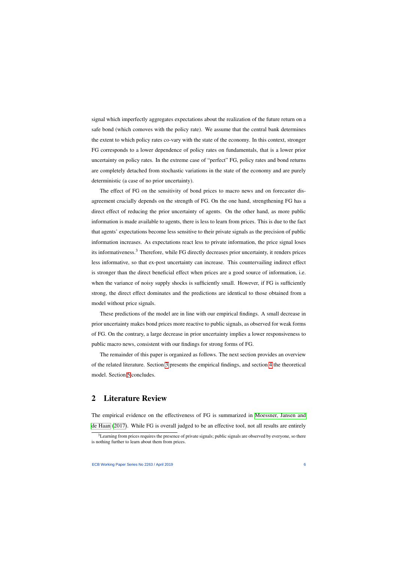signal which imperfectly aggregates expectations about the realization of the future return on a safe bond (which comoves with the policy rate). We assume that the central bank determines the extent to which policy rates co-vary with the state of the economy. In this context, stronger FG corresponds to a lower dependence of policy rates on fundamentals, that is a lower prior uncertainty on policy rates. In the extreme case of "perfect" FG, policy rates and bond returns are completely detached from stochastic variations in the state of the economy and are purely deterministic (a case of no prior uncertainty).

The effect of FG on the sensitivity of bond prices to macro news and on forecaster disagreement crucially depends on the strength of FG. On the one hand, strengthening FG has a direct effect of reducing the prior uncertainty of agents. On the other hand, as more public information is made available to agents, there is less to learn from prices. This is due to the fact that agents' expectations become less sensitive to their private signals as the precision of public information increases. As expectations react less to private information, the price signal loses its informativeness.<sup>3</sup> Therefore, while FG directly decreases prior uncertainty, it renders prices less informative, so that ex-post uncertainty can increase. This countervailing indirect effect is stronger than the direct beneficial effect when prices are a good source of information, i.e. when the variance of noisy supply shocks is sufficiently small. However, if FG is sufficiently strong, the direct effect dominates and the predictions are identical to those obtained from a model without price signals.

These predictions of the model are in line with our empirical findings. A small decrease in prior uncertainty makes bond prices more reactive to public signals, as observed for weak forms of FG. On the contrary, a large decrease in prior uncertainty implies a lower responsiveness to public macro news, consistent with our findings for strong forms of FG.

The remainder of this paper is organized as follows. The next section provides an overview of the related literature. Section [3](#page-9-0) presents the empirical findings, and section [4](#page-24-0) the theoretical model. Section [5](#page-34-0) concludes.

## 2 Literature Review

The empirical evidence on the effectiveness of FG is summarized in [Moessner, Jansen and](#page-36-5) [de Haan](#page-36-5) [\(2017\)](#page-36-5). While FG is overall judged to be an effective tool, not all results are entirely

<sup>&</sup>lt;sup>3</sup>Learning from prices requires the presence of private signals; public signals are observed by everyone, so there is nothing further to learn about them from prices.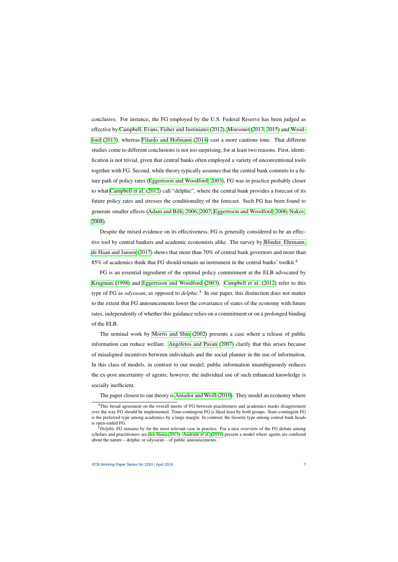conclusive. For instance, the FG employed by the U.S. Federal Reserve has been judged as effective by [Campbell, Evans, Fisher and Justiniano](#page-35-3) [\(2012\)](#page-35-3), [Moessner](#page-36-6) [\(2013,](#page-36-6) [2015\)](#page-36-7) and [Wood](#page-36-8)[ford](#page-36-8) [\(2013\)](#page-36-8), whereas [Filardo and Hofmann](#page-36-9) [\(2014\)](#page-36-9) cast a more cautious tone. That different studies come to different conclusions is not too surprising, for at least two reasons. First, identification is not trivial, given that central banks often employed a variety of unconventional tools together with FG. Second, while theory typically assumes that the central bank commits to a future path of policy rates [\(Eggertsson and Woodford, 2003\)](#page-35-4), FG was in practice probably closer to what [Campbell et al.](#page-35-3) [\(2012\)](#page-35-3) call "delphic", where the central bank provides a forecast of its future policy rates and stresses the conditionality of the forecast. Such FG has been found to generate smaller effects [\(Adam and Billi, 2006,](#page-34-1) [2007;](#page-34-2) [Eggertsson and Woodford, 2006;](#page-35-5) [Nakov,](#page-36-10) [2008\)](#page-36-10).

Despite the mixed evidence on its effectiveness, FG is generally considered to be an effective tool by central bankers and academic economists alike. The survey by [Blinder, Ehrmann,](#page-35-6) [de Haan and Jansen](#page-35-6) [\(2017\)](#page-35-6) shows that more than 70% of central bank governors and more than 85% of academics think that FG should remain an instrument in the central banks' toolkit.<sup>4</sup>

FG is an essential ingredient of the optimal policy commitment at the ELB advocated by [Krugman](#page-36-11) [\(1998\)](#page-36-11) and [Eggertsson and Woodford](#page-35-4) [\(2003\)](#page-35-4). [Campbell et al.](#page-35-3) [\(2012\)](#page-35-3) refer to this type of FG as *odyssean*, as opposed to *delphic*. 5 In our paper, this distinction does not matter to the extent that FG announcements lower the covariance of states of the economy with future rates, independently of whether this guidance relies on a commitment or on a prolonged binding of the ELB.

The seminal work by [Morris and Shin](#page-36-12) [\(2002\)](#page-36-12) presents a case where a release of public information can reduce welfare. [Angeletos and Pavan](#page-35-7) [\(2007\)](#page-35-7) clarify that this arises because of misaligned incentives between individuals and the social planner in the use of information. In this class of models, in contrast to our model, public information unambiguously reduces the ex-post uncertainty of agents; however, the individual use of such enhanced knowledge is socially inefficient.

The paper closest to our theory is [Amador and Weill](#page-35-8) [\(2010\)](#page-35-8). They model an economy where

<sup>&</sup>lt;sup>4</sup>This broad agreement on the overall merits of FG between practitioners and academics masks disagreement over the way FG should be implemented. Time-contingent FG is liked least by both groups. State-contingent FG is the preferred type among academics by a large margin. In contrast, the favorite type among central bank heads is open-ended FG.

<sup>&</sup>lt;sup>5</sup>Delphic FG remains by far the most relevant case in practice. For a nice overview of the FG debate among scholars and practitioners see [den Haan](#page-36-13) [\(2013\)](#page-36-13). [Andrade et al.](#page-35-2) [\(2019\)](#page-35-2) present a model where agents are confused about the nature – delphic or odyssean – of public announcements.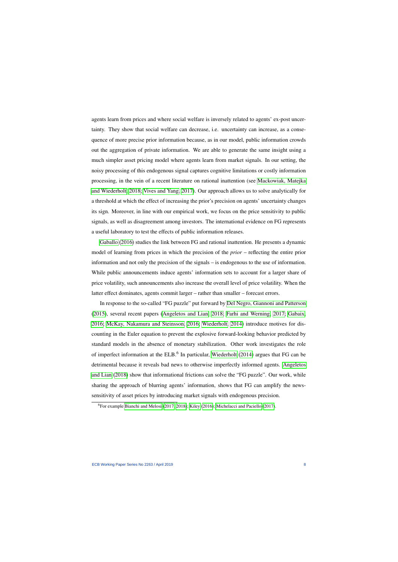agents learn from prices and where social welfare is inversely related to agents' ex-post uncertainty. They show that social welfare can decrease, i.e. uncertainty can increase, as a consequence of more precise prior information because, as in our model, public information crowds out the aggregation of private information. We are able to generate the same insight using a much simpler asset pricing model where agents learn from market signals. In our setting, the noisy processing of this endogenous signal captures cognitive limitations or costly information processing, in the vein of a recent literature on rational inattention (see [Mackowiak, Matejka](#page-36-14) [and Wiederholt, 2018;](#page-36-14) [Vives and Yang, 2017\)](#page-36-15). Our approach allows us to solve analytically for a threshold at which the effect of increasing the prior's precision on agents' uncertainty changes its sign. Moreover, in line with our empirical work, we focus on the price sensitivity to public signals, as well as disagreement among investors. The international evidence on FG represents a useful laboratory to test the effects of public information releases.

[Gaballo](#page-36-16) [\(2016\)](#page-36-16) studies the link between FG and rational inattention. He presents a dynamic model of learning from prices in which the precision of the *prior* – reflecting the entire prior information and not only the precision of the signals – is endogenous to the use of information. While public announcements induce agents' information sets to account for a larger share of price volatility, such announcements also increase the overall level of price volatility. When the latter effect dominates, agents commit larger – rather than smaller – forecast errors.

In response to the so-called "FG puzzle" put forward by [Del Negro, Giannoni and Patterson](#page-35-9) [\(2015\)](#page-35-9), several recent papers [\(Angeletos and Lian, 2018;](#page-35-0) [Farhi and Werning, 2017;](#page-36-17) [Gabaix,](#page-36-18) [2016;](#page-36-18) [McKay, Nakamura and Steinsson, 2016;](#page-36-19) [Wiederholt, 2014\)](#page-36-3) introduce motives for discounting in the Euler equation to prevent the explosive forward-looking behavior predicted by standard models in the absence of monetary stabilization. Other work investigates the role of imperfect information at the ELB.<sup>6</sup> In particular, [Wiederholt](#page-36-3) [\(2014\)](#page-36-3) argues that FG can be detrimental because it reveals bad news to otherwise imperfectly informed agents. [Angeletos](#page-35-0) [and Lian](#page-35-0) [\(2018\)](#page-35-0) show that informational frictions can solve the "FG puzzle". Our work, while sharing the approach of blurring agents' information, shows that FG can amplify the newssensitivity of asset prices by introducing market signals with endogenous precision.

<sup>6</sup>For example Bianchi [and Melosi](#page-35-10) [\(2017,](#page-35-10) [2018\)](#page-35-11); [Kiley](#page-36-20) [\(2016\)](#page-36-20); [Michelacci and Paciello](#page-36-21) [\(2017\)](#page-36-21).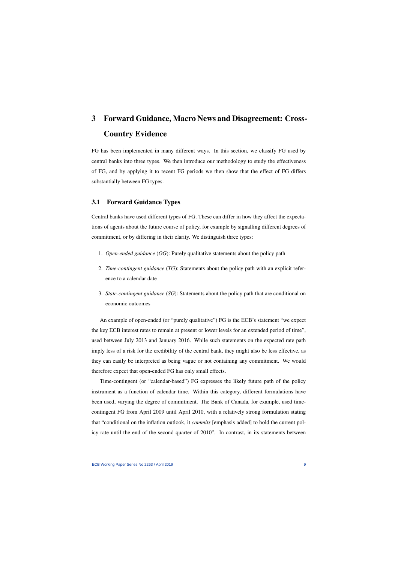# 3 Forward Guidance, Macro News and Disagreement: Cross-Country Evidence

FG has been implemented in many different ways. In this section, we classify FG used by central banks into three types. We then introduce our methodology to study the effectiveness of FG, and by applying it to recent FG periods we then show that the effect of FG differs substantially between FG types.

## <span id="page-9-0"></span>3.1 Forward Guidance Types

Central banks have used different types of FG. These can differ in how they affect the expectations of agents about the future course of policy, for example by signalling different degrees of commitment, or by differing in their clarity. We distinguish three types:

- 1. *Open-ended guidance* (*OG*): Purely qualitative statements about the policy path
- 2. *Time-contingent guidance* (*TG*): Statements about the policy path with an explicit reference to a calendar date
- 3. *State-contingent guidance* (*SG*): Statements about the policy path that are conditional on economic outcomes

An example of open-ended (or "purely qualitative") FG is the ECB's statement "we expect the key ECB interest rates to remain at present or lower levels for an extended period of time", used between July 2013 and January 2016. While such statements on the expected rate path imply less of a risk for the credibility of the central bank, they might also be less effective, as they can easily be interpreted as being vague or not containing any commitment. We would therefore expect that open-ended FG has only small effects.

Time-contingent (or "calendar-based") FG expresses the likely future path of the policy instrument as a function of calendar time. Within this category, different formulations have been used, varying the degree of commitment. The Bank of Canada, for example, used timecontingent FG from April 2009 until April 2010, with a relatively strong formulation stating that "conditional on the inflation outlook, it *commits* [emphasis added] to hold the current policy rate until the end of the second quarter of 2010". In contrast, in its statements between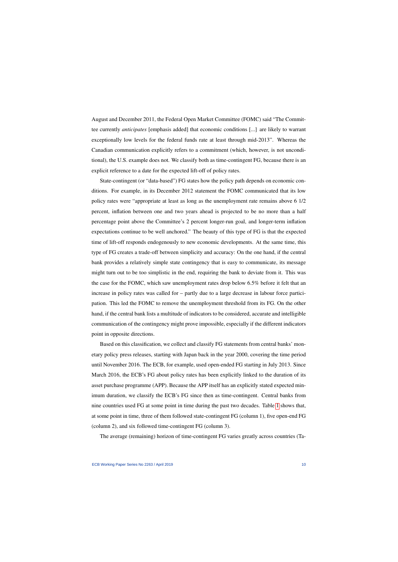August and December 2011, the Federal Open Market Committee (FOMC) said "The Committee currently *anticipates* [emphasis added] that economic conditions [...] are likely to warrant exceptionally low levels for the federal funds rate at least through mid-2013". Whereas the Canadian communication explicitly refers to a commitment (which, however, is not unconditional), the U.S. example does not. We classify both as time-contingent FG, because there is an explicit reference to a date for the expected lift-off of policy rates.

State-contingent (or "data-based") FG states how the policy path depends on economic conditions. For example, in its December 2012 statement the FOMC communicated that its low policy rates were "appropriate at least as long as the unemployment rate remains above 6 1/2 percent, inflation between one and two years ahead is projected to be no more than a half percentage point above the Committee's 2 percent longer-run goal, and longer-term inflation expectations continue to be well anchored." The beauty of this type of FG is that the expected time of lift-off responds endogenously to new economic developments. At the same time, this type of FG creates a trade-off between simplicity and accuracy: On the one hand, if the central bank provides a relatively simple state contingency that is easy to communicate, its message might turn out to be too simplistic in the end, requiring the bank to deviate from it. This was the case for the FOMC, which saw unemployment rates drop below 6.5% before it felt that an increase in policy rates was called for – partly due to a large decrease in labour force participation. This led the FOMC to remove the unemployment threshold from its FG. On the other hand, if the central bank lists a multitude of indicators to be considered, accurate and intelligible communication of the contingency might prove impossible, especially if the different indicators point in opposite directions.

Based on this classification, we collect and classify FG statements from central banks' monetary policy press releases, starting with Japan back in the year 2000, covering the time period until November 2016. The ECB, for example, used open-ended FG starting in July 2013. Since March 2016, the ECB's FG about policy rates has been explicitly linked to the duration of its asset purchase programme (APP). Because the APP itself has an explicitly stated expected minimum duration, we classify the ECB's FG since then as time-contingent. Central banks from nine countries used FG at some point in time during the past two decades. Table [1](#page-11-0) shows that, at some point in time, three of them followed state-contingent FG (column 1), five open-end FG (column 2), and six followed time-contingent FG (column 3).

The average (remaining) horizon of time-contingent FG varies greatly across countries (Ta-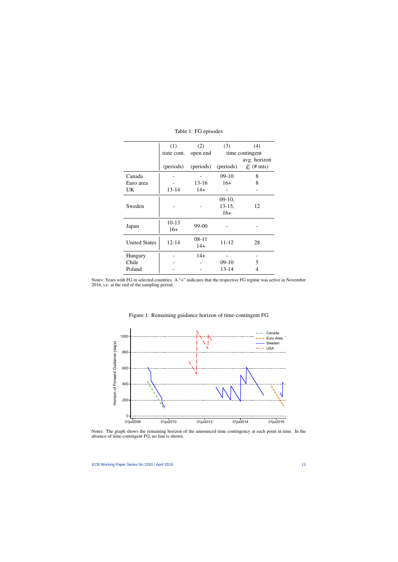<span id="page-11-0"></span>

|                      | (1)       | (2)                  | (3)       | (4)                     |
|----------------------|-----------|----------------------|-----------|-------------------------|
|                      |           | state cont. open end |           | time contingent         |
|                      |           |                      |           | avg. horizon            |
|                      | (periods) | (periods)            | (periods) | $\tilde{g}^c_t$ (# mts) |
| Canada               |           |                      | $09-10$   | 8                       |
| Euro area            |           | $13 - 16$            | $16+$     | 8                       |
| UK                   | $13 - 14$ | $14+$                |           |                         |
|                      |           |                      | $09-10,$  |                         |
| Sweden               |           |                      | $13-15,$  | 12                      |
|                      |           |                      | $16+$     |                         |
|                      | $10 - 13$ | 99-00                |           |                         |
| Japan                | $16+$     |                      |           |                         |
|                      | $12 - 14$ | $08 - 11$            | $11 - 12$ |                         |
| <b>United States</b> |           | $14+$                |           | 28                      |
| Hungary              |           | $14+$                |           |                         |
| Chile                |           |                      | $09-10$   | 5                       |
| Poland               |           |                      | 13-14     | 4                       |

Table 1: FG episodes

Notes: Years with FG in selected countries. A "+" indicates that the respective FG regime was active in November 2016, i.e. at the end of the sampling period.



Figure 1: Remaining guidance horizon of time-contingent FG

<span id="page-11-1"></span>Notes: The graph shows the remaining horizon of the announced time contingency at each point in time. In the absence of time-contingent FG, no line is shown.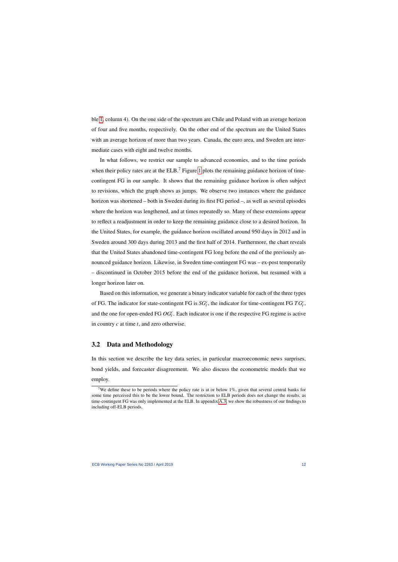ble [1,](#page-11-0) column 4). On the one side of the spectrum are Chile and Poland with an average horizon of four and five months, respectively. On the other end of the spectrum are the United States with an average horizon of more than two years. Canada, the euro area, and Sweden are intermediate cases with eight and twelve months.

In what follows, we restrict our sample to advanced economies, and to the time periods when their policy rates are at the  $ELB$ .<sup>7</sup> Figure [1](#page-11-1) plots the remaining guidance horizon of timecontingent FG in our sample. It shows that the remaining guidance horizon is often subject to revisions, which the graph shows as jumps. We observe two instances where the guidance horizon was shortened – both in Sweden during its first FG period –, as well as several episodes where the horizon was lengthened, and at times repeatedly so. Many of these extensions appear to reflect a readjustment in order to keep the remaining guidance close to a desired horizon. In the United States, for example, the guidance horizon oscillated around 950 days in 2012 and in Sweden around 300 days during 2013 and the first half of 2014. Furthermore, the chart reveals that the United States abandoned time-contingent FG long before the end of the previously announced guidance horizon. Likewise, in Sweden time-contingent FG was – ex-post temporarily – discontinued in October 2015 before the end of the guidance horizon, but resumed with a longer horizon later on.

Based on this information, we generate a binary indicator variable for each of the three types of FG. The indicator for state-contingent FG is  $SG_t^c$ , the indicator for time-contingent FG  $TG_t^c$ , and the one for open-ended FG  $OG_t^c$ . Each indicator is one if the respective FG regime is active in country *c* at time *t*, and zero otherwise.

## 3.2 Data and Methodology

In this section we describe the key data series, in particular macroeconomic news surprises, bond yields, and forecaster disagreement. We also discuss the econometric models that we employ.

<sup>&</sup>lt;sup>7</sup>We define these to be periods where the policy rate is at or below 1%, given that several central banks for some time perceived this to be the lower bound. The restriction to ELB periods does not change the results, as time-contingent FG was only implemented at the ELB. In appendix [A.3,](#page-42-0) we show the robustness of our findings to including off-ELB periods.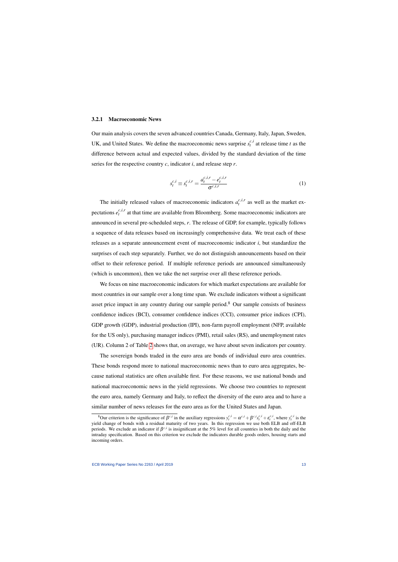#### 3.2.1 Macroeconomic News

Our main analysis covers the seven advanced countries Canada, Germany, Italy, Japan, Sweden, UK, and United States. We define the macroeconomic news surprise  $s_t^{c,i}$  $t^{c,t}$  at release time *t* as the difference between actual and expected values, divided by the standard deviation of the time series for the respective country *c*, indicator *i*, and release step *r*.

$$
s_t^{c,i} \equiv s_t^{c,i,r} = \frac{a_t^{c,i,r} - e_t^{c,i,r}}{\sigma^{c,i,r}}
$$
(1)

The initially released values of macroeconomic indicators  $a_t^{c,i,r}$  $t^{c,t,\prime}$  as well as the market expectations  $e^{c,i,r}_t$  $t^{c,t,r}$  at that time are available from Bloomberg. Some macroeconomic indicators are announced in several pre-scheduled steps, *r*. The release of GDP, for example, typically follows a sequence of data releases based on increasingly comprehensive data. We treat each of these releases as a separate announcement event of macroeconomic indicator *i*, but standardize the surprises of each step separately. Further, we do not distinguish announcements based on their offset to their reference period. If multiple reference periods are announced simultaneously (which is uncommon), then we take the net surprise over all these reference periods.

We focus on nine macroeconomic indicators for which market expectations are available for most countries in our sample over a long time span. We exclude indicators without a significant asset price impact in any country during our sample period.<sup>8</sup> Our sample consists of business confidence indices (BCI), consumer confidence indices (CCI), consumer price indices (CPI), GDP growth (GDP), industrial production (IPI), non-farm payroll employment (NFP, available for the US only), purchasing manager indices (PMI), retail sales (RS), and unemployment rates (UR). Column 2 of Table [2](#page-14-0) shows that, on average, we have about seven indicators per country.

The sovereign bonds traded in the euro area are bonds of individual euro area countries. These bonds respond more to national macroeconomic news than to euro area aggregates, because national statistics are often available first. For these reasons, we use national bonds and national macroeconomic news in the yield regressions. We choose two countries to represent the euro area, namely Germany and Italy, to reflect the diversity of the euro area and to have a similar number of news releases for the euro area as for the United States and Japan.

<sup>&</sup>lt;sup>8</sup>Our criterion is the significance of  $\beta^{c,i}$  in the auxiliary regressions  $y_t^{c,i} = \alpha^{c,i} + \beta^{c,i} s_t^{c,i} + \epsilon_t^{c,i}$ , where  $y_t^{c,i}$  is the yield change of bonds with a residual maturity of two years. In this regression we use both ELB and off-ELB periods. We exclude an indicator if  $\beta^{c,i}$  is insignificant at the 5% level for all countries in both the daily and the intraday specification. Based on this criterion we exclude the indicators durable goods orders, housing starts and incoming orders.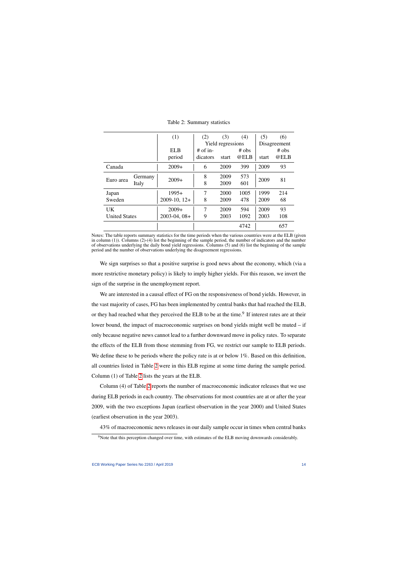|                      |         | (1)            | (2)        | (3)               | (4)     | (5)   | (6)          |
|----------------------|---------|----------------|------------|-------------------|---------|-------|--------------|
|                      |         |                |            | Yield regressions |         |       | Disagreement |
|                      |         | EL B           | $#$ of in- |                   | $#$ obs |       | $#$ obs      |
|                      |         | period         | dicators   | start             | @ELB    | start | @ELB         |
| Canada               |         | $2009+$        | 6          | 2009              | 399     | 2009  | 93           |
|                      | Germany |                | 8          | 2009              | 573     |       |              |
| Euro area            | Italy   | $2009+$        | 8          | 2009              | 601     | 2009  | 81           |
| Japan                |         | $1995+$        | 7          | 2000              | 1005    | 1999  | 214          |
| Sweden               |         | $2009-10, 12+$ | 8          | 2009              | 478     | 2009  | 68           |
| <b>UK</b>            |         | $2009+$        | 7          | 2009              | 594     | 2009  | 93           |
| <b>United States</b> |         | $2003-04,08+$  | 9          | 2003              | 1092    | 2003  | 108          |
|                      |         |                |            |                   | 4742    |       | 657          |

Table 2: Summary statistics

<span id="page-14-0"></span>Notes: The table reports summary statistics for the time periods when the various countries were at the ELB (given in column (1)). Columns (2)-(4) list the beginning of the sample period, the number of indicators and the number of observations underlying the daily bond yield regressions. Columns (5) and (6) list the beginning of the sample period and the number of observations underlying the disagreement regressions.

We sign surprises so that a positive surprise is good news about the economy, which (via a more restrictive monetary policy) is likely to imply higher yields. For this reason, we invert the sign of the surprise in the unemployment report.

We are interested in a causal effect of FG on the responsiveness of bond yields. However, in the vast majority of cases, FG has been implemented by central banks that had reached the ELB, or they had reached what they perceived the ELB to be at the time.<sup>9</sup> If interest rates are at their lower bound, the impact of macroeconomic surprises on bond yields might well be muted – if only because negative news cannot lead to a further downward move in policy rates. To separate the effects of the ELB from those stemming from FG, we restrict our sample to ELB periods. We define these to be periods where the policy rate is at or below 1%. Based on this definition, all countries listed in Table [2](#page-14-0) were in this ELB regime at some time during the sample period. Column (1) of Table [2](#page-14-0) lists the years at the ELB.

Column (4) of Table [2](#page-14-0) reports the number of macroeconomic indicator releases that we use during ELB periods in each country. The observations for most countries are at or after the year 2009, with the two exceptions Japan (earliest observation in the year 2000) and United States (earliest observation in the year 2003).

43% of macroeconomic news releases in our daily sample occur in times when central banks

<sup>&</sup>lt;sup>9</sup>Note that this perception changed over time, with estimates of the ELB moving downwards considerably.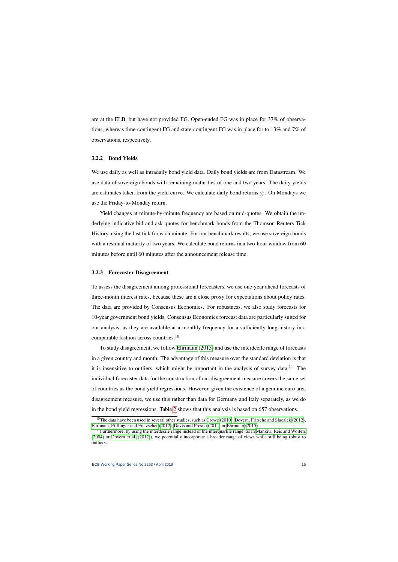are at the ELB, but have not provided FG. Open-ended FG was in place for 37% of observations, whereas time-contingent FG and state-contingent FG was in place for to 13% and 7% of observations, respectively.

### 3.2.2 Bond Yields

We use daily as well as intradaily bond yield data. Daily bond yields are from Datastream. We use data of sovereign bonds with remaining maturities of one and two years. The daily yields are estimates taken from the yield curve. We calculate daily bond returns  $y_t^c$ . On Mondays we use the Friday-to-Monday return.

Yield changes at minute-by-minute frequency are based on mid-quotes. We obtain the underlying indicative bid and ask quotes for benchmark bonds from the Thomson Reuters Tick History, using the last tick for each minute. For our benchmark results, we use sovereign bonds with a residual maturity of two years. We calculate bond returns in a two-hour window from 60 minutes before until 60 minutes after the announcement release time.

### 3.2.3 Forecaster Disagreement

To assess the disagreement among professional forecasters, we use one-year ahead forecasts of three-month interest rates, because these are a close proxy for expectations about policy rates. The data are provided by Consensus Economics. For robustness, we also study forecasts for 10-year government bond yields. Consensus Economics forecast data are particularly suited for our analysis, as they are available at a monthly frequency for a sufficiently long history in a comparable fashion across countries.<sup>10</sup>

To study disagreement, we follow [Ehrmann](#page-35-12) [\(2015\)](#page-35-12) and use the interdecile range of forecasts in a given country and month. The advantage of this measure over the standard deviation is that it is insensitive to outliers, which might be important in the analysis of survey data.<sup>11</sup> The individual forecaster data for the construction of our disagreement measure covers the same set of countries as the bond yield regressions. However, given the existence of a genuine euro area disagreement measure, we use this rather than data for Germany and Italy separately, as we do in the bond yield regressions. Table [2](#page-14-0) shows that this analysis is based on 657 observations.

<sup>&</sup>lt;sup>10</sup>The data have been used in several other studies, such as [Crowe](#page-35-13) [\(2010\)](#page-35-13), [Dovern, Fritsche and Slacalek](#page-35-14) [\(2012\)](#page-35-14), [Ehrmann, Eijffinger and Fratzscher](#page-35-15) [\(2012\)](#page-35-15), [Davis and Presno](#page-35-16) [\(2014\)](#page-35-16) or [Ehrmann](#page-35-12) [\(2015\)](#page-35-12).

 $11$  Furthermore, by using the interdecile range instead of the interquartile range (as in [Mankiw, Reis and Wolfers](#page-36-22) [\(2004\)](#page-36-22) or [Dovern et al.](#page-35-14) [\(2012\)](#page-35-14)), we potentially incorporate a broader range of views while still being robust to outliers.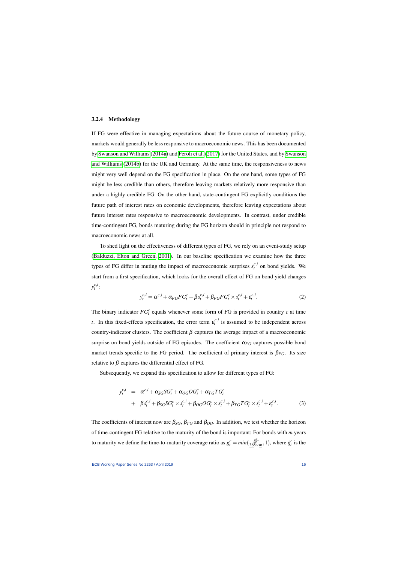#### 3.2.4 Methodology

If FG were effective in managing expectations about the future course of monetary policy, markets would generally be less responsive to macroeconomic news. This has been documented by [Swanson and Williams](#page-36-0) [\(2014a\)](#page-36-0) and [Feroli et al.](#page-36-1) [\(2017\)](#page-36-1) for the United States, and by [Swanson](#page-36-2) [and Williams](#page-36-2) [\(2014b\)](#page-36-2) for the UK and Germany. At the same time, the responsiveness to news might very well depend on the FG specification in place. On the one hand, some types of FG might be less credible than others, therefore leaving markets relatively more responsive than under a highly credible FG. On the other hand, state-contingent FG explicitly conditions the future path of interest rates on economic developments, therefore leaving expectations about future interest rates responsive to macroeconomic developments. In contrast, under credible time-contingent FG, bonds maturing during the FG horizon should in principle not respond to macroeconomic news at all.

<span id="page-16-0"></span>To shed light on the effectiveness of different types of FG, we rely on an event-study setup [\(Balduzzi, Elton and Green, 2001\)](#page-35-17). In our baseline specification we examine how the three types of FG differ in muting the impact of macroeconomic surprises  $s_t^{c,i}$  on bond yields. We start from a first specification, which looks for the overall effect of FG on bond yield changes  $y_t^{c,i}$  $\frac{c,t}{t}$ :

$$
y_t^{c,i} = \alpha^{c,i} + \alpha_{FG}FG_t^c + \beta s_t^{c,i} + \beta_{FG}FG_t^c \times s_t^{c,i} + \varepsilon_t^{c,i}.
$$
 (2)

The binary indicator  $FG_f^c$  equals whenever some form of FG is provided in country  $c$  at time *t*. In this fixed-effects specification, the error term  $\varepsilon_t^{c,i}$  $t_t^{c,t}$  is assumed to be independent across country-indicator clusters. The coefficient  $\beta$  captures the average impact of a macroeconomic surprise on bond yields outside of FG episodes. The coefficient  $\alpha_{FG}$  captures possible bond market trends specific to the FG period. The coefficient of primary interest is  $\beta_{FG}$ . Its size relative to  $β$  captures the differential effect of FG.

<span id="page-16-1"></span>Subsequently, we expand this specification to allow for different types of FG:

$$
y_t^{c,i} = \alpha^{c,i} + \alpha_{SG} SG_t^c + \alpha_{OG} OG_t^c + \alpha_{TG} TG_t^c
$$
  
+ 
$$
\beta s_t^{c,i} + \beta_{SG} SG_t^c \times s_t^{c,i} + \beta_{OG} OG_t^c \times s_t^{c,i} + \beta_{TG} TG_t^c \times s_t^{c,i} + \varepsilon_t^{c,i}.
$$
 (3)

<span id="page-16-2"></span>The coefficients of interest now are  $\beta_{SG}$ ,  $\beta_{TG}$  and  $\beta_{OG}$ . In addition, we test whether the horizon of time-contingent FG relative to the maturity of the bond is important: For bonds with *m* years to maturity we define the time-to-maturity coverage ratio as  $g_t^c = min(\frac{8}{365})$  $\tilde{g}$ × *t c*  $\frac{m}{2}$ , 1), where  $\tilde{g}_t^c$  is the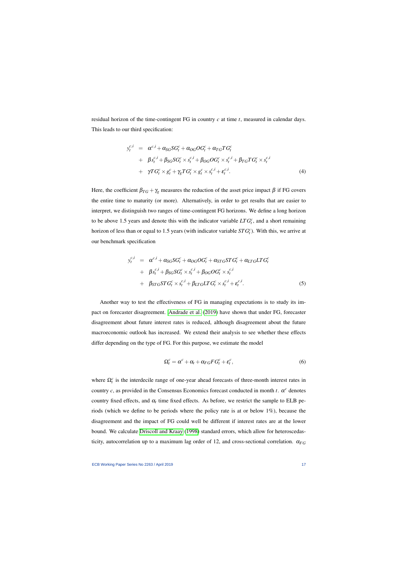residual horizon of the time-contingent FG in country *c* at time *t*, measured in calendar days. This leads to our third specification:

$$
y_t^{c,i} = \alpha^{c,i} + \alpha_{SG} SG_t^c + \alpha_{OG} OG_t^c + \alpha_{TG} TG_t^c
$$
  
+ 
$$
\beta s_t^{c,i} + \beta_{SG} SG_t^c \times s_t^{c,i} + \beta_{OG} OG_t^c \times s_t^{c,i} + \beta_{TG} TG_t^c \times s_t^{c,i}
$$
  
+ 
$$
\gamma TG_t^c \times g_t^c + \gamma_g TG_t^c \times g_t^c \times s_t^{c,i} + \varepsilon_t^{c,i}.
$$
 (4)

<span id="page-17-0"></span>Here, the coefficient  $\beta_{TG} + \gamma_g$  measures the reduction of the asset price impact  $\beta$  if FG covers the entire time to maturity (or more). Alternatively, in order to get results that are easier to interpret, we distinguish two ranges of time-contingent FG horizons. We define a long horizon to be above 1.5 years and denote this with the indicator variable  $LTG_f^c$ , and a short remaining horizon of less than or equal to 1.5 years (with indicator variable *ST G<sup>c</sup> t* ). With this, we arrive at our benchmark specification

$$
y_t^{c,i} = \alpha^{c,i} + \alpha_{SG} SG_t^c + \alpha_{OG} OG_t^c + \alpha_{STG} STG_t^c + \alpha_{LTG} LTG_t^c
$$
  
+ 
$$
\beta s_t^{c,i} + \beta_{SG} SG_t^c \times s_t^{c,i} + \beta_{OG} OG_t^c \times s_t^{c,i}
$$
  
+ 
$$
\beta_{STG} STG_t^c \times s_t^{c,i} + \beta_{LTG} LTG_t^c \times s_t^{c,i} + \varepsilon_t^{c,i}.
$$
 (5)

<span id="page-17-1"></span>Another way to test the effectiveness of FG in managing expectations is to study its impact on forecaster disagreement. [Andrade et al.](#page-35-2) [\(2019\)](#page-35-2) have shown that under FG, forecaster disagreement about future interest rates is reduced, although disagreement about the future macroeconomic outlook has increased. We extend their analysis to see whether these effects differ depending on the type of FG. For this purpose, we estimate the model

$$
\Omega_t^c = \alpha^c + \alpha_t + \alpha_{FG} F G_t^c + \varepsilon_t^c, \tag{6}
$$

where  $\Omega_t^c$  is the interdecile range of one-year ahead forecasts of three-month interest rates in country *c*, as provided in the Consensus Economics forecast conducted in month *t*.  $\alpha^c$  denotes country fixed effects, and  $\alpha_t$  time fixed effects. As before, we restrict the sample to ELB periods (which we define to be periods where the policy rate is at or below 1%), because the disagreement and the impact of FG could well be different if interest rates are at the lower bound. We calculate [Driscoll and Kraay](#page-35-18) [\(1998\)](#page-35-18) standard errors, which allow for heteroscedasticity, autocorrelation up to a maximum lag order of 12, and cross-sectional correlation.  $\alpha_{FG}$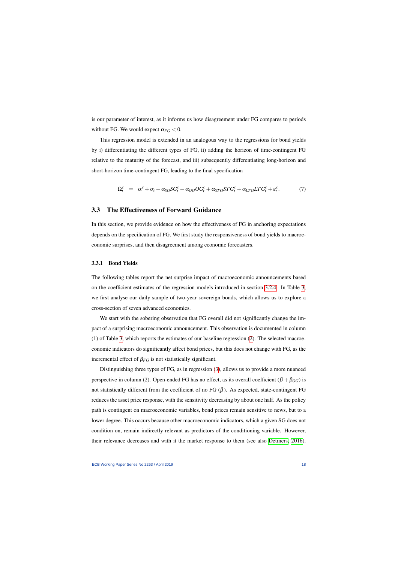is our parameter of interest, as it informs us how disagreement under FG compares to periods without FG. We would expect  $\alpha_{FG} < 0$ .

This regression model is extended in an analogous way to the regressions for bond yields by i) differentiating the different types of FG, ii) adding the horizon of time-contingent FG relative to the maturity of the forecast, and iii) subsequently differentiating long-horizon and short-horizon time-contingent FG, leading to the final specification

$$
\Omega_t^c = \alpha^c + \alpha_t + \alpha_{SG} SG_t^c + \alpha_{OG} OG_t^c + \alpha_{STG} STG_t^c + \alpha_{LTG} LTG_t^c + \varepsilon_t^c. \tag{7}
$$

### 3.3 The Effectiveness of Forward Guidance

In this section, we provide evidence on how the effectiveness of FG in anchoring expectations depends on the specification of FG. We first study the responsiveness of bond yields to macroeconomic surprises, and then disagreement among economic forecasters.

### 3.3.1 Bond Yields

The following tables report the net surprise impact of macroeconomic announcements based on the coefficient estimates of the regression models introduced in section [3.2.4.](#page-16-0) In Table [3,](#page-19-0) we first analyse our daily sample of two-year sovereign bonds, which allows us to explore a cross-section of seven advanced economies.

We start with the sobering observation that FG overall did not significantly change the impact of a surprising macroeconomic announcement. This observation is documented in column (1) of Table [3,](#page-19-0) which reports the estimates of our baseline regression [\(2\)](#page-16-1). The selected macroeconomic indicators do significantly affect bond prices, but this does not change with FG, as the incremental effect of  $\beta_{FG}$  is not statistically significant.

Distinguishing three types of FG, as in regression [\(3\)](#page-16-2), allows us to provide a more nuanced perspective in column (2). Open-ended FG has no effect, as its overall coefficient ( $\beta + \beta_{OG}$ ) is not statistically different from the coefficient of no FG  $(β)$ . As expected, state-contingent FG reduces the asset price response, with the sensitivity decreasing by about one half. As the policy path is contingent on macroeconomic variables, bond prices remain sensitive to news, but to a lower degree. This occurs because other macroeconomic indicators, which a given SG does not condition on, remain indirectly relevant as predictors of the conditioning variable. However, their relevance decreases and with it the market response to them (see also [Detmers, 2016\)](#page-35-1).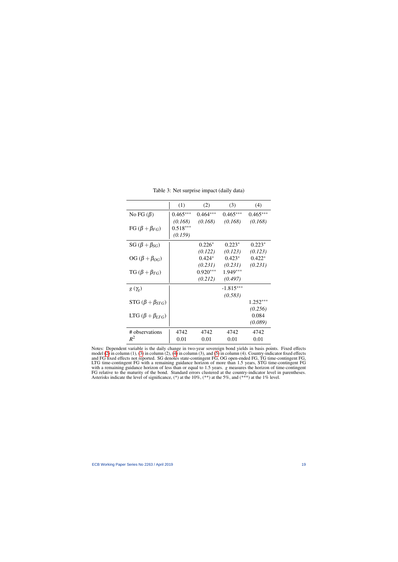<span id="page-19-0"></span>

|                             | (1)        | (2)        | (3)         | (4)        |
|-----------------------------|------------|------------|-------------|------------|
| No FG $(\beta)$             | $0.465***$ | $0.464***$ | $0.465***$  | $0.465***$ |
|                             | (0.168)    | (0.168)    | (0.168)     | (0.168)    |
| FG $(\beta + \beta_{FG})$   | $0.518***$ |            |             |            |
|                             | (0.159)    |            |             |            |
| SG $(\beta + \beta_{SG})$   |            | $0.226*$   | $0.223*$    | $0.223*$   |
|                             |            | (0.122)    | (0.123)     | (0.123)    |
| OG $(\beta + \beta_{OG})$   |            | $0.424*$   | $0.423*$    | $0.422*$   |
|                             |            | (0.231)    | (0.231)     | (0.231)    |
| TG $(\beta + \beta_{TG})$   |            | $0.920***$ | $1.949***$  |            |
|                             |            | (0.212)    | (0.497)     |            |
| $g(\gamma_g)$               |            |            | $-1.815***$ |            |
|                             |            |            | (0.583)     |            |
| STG $(\beta + \beta_{STG})$ |            |            |             | $1.252***$ |
|                             |            |            |             | (0.256)    |
| LTG $(\beta + \beta_{LTG})$ |            |            |             | 0.084      |
|                             |            |            |             | (0.089)    |
| # observations              | 4742       | 4742       | 4742        | 4742       |
| $R^2$                       | 0.01       | 0.01       | 0.01        | 0.01       |

Table 3: Net surprise impact (daily data)

Notes: Dependent variable is the daily change in two-year sovereign bond yields in basis points. Fixed effects model [\(2\)](#page-16-1) in column (1), [\(3\)](#page-16-2) in column (2), [\(4\)](#page-17-0) in column (3), and [\(5\)](#page-17-1) in column (4). Country-indicator fixed effects and FG fixed effects not reported. SG denotes state-contingent FG, OG open-ended FG, TG time-contingent FG, LTG time-contingent FG with a remaining guidance horizon of more than 1.5 years, STG time-contingent FG with a remaining guidance horizon of less than or equal to 1.5 years. *g* measures the horizon of time-contingent FG relative to the maturity of the bond. Standard errors clustered at the country-indicator level in parentheses. Asterisks indicate the level of significance,  $(*)$  at the 10%,  $(**)$  at the 5%, and  $(***)$  at the 1% level.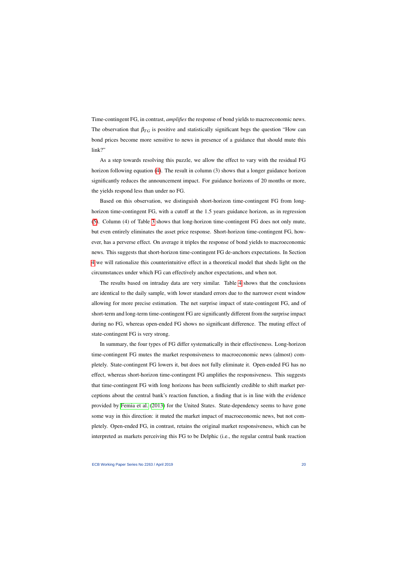Time-contingent FG, in contrast, *amplifies* the response of bond yields to macroeconomic news. The observation that  $\beta_{TG}$  is positive and statistically significant begs the question "How can bond prices become more sensitive to news in presence of a guidance that should mute this link?"

As a step towards resolving this puzzle, we allow the effect to vary with the residual FG horizon following equation [\(4\)](#page-17-0). The result in column (3) shows that a longer guidance horizon significantly reduces the announcement impact. For guidance horizons of 20 months or more, the yields respond less than under no FG.

Based on this observation, we distinguish short-horizon time-contingent FG from longhorizon time-contingent FG, with a cutoff at the 1.5 years guidance horizon, as in regression [\(5\)](#page-17-1). Column (4) of Table [3](#page-19-0) shows that long-horizon time-contingent FG does not only mute, but even entirely eliminates the asset price response. Short-horizon time-contingent FG, however, has a perverse effect. On average it triples the response of bond yields to macroeconomic news. This suggests that short-horizon time-contingent FG de-anchors expectations. In Section [4](#page-24-0) we will rationalize this counterintuitive effect in a theoretical model that sheds light on the circumstances under which FG can effectively anchor expectations, and when not.

The results based on intraday data are very similar. Table [4](#page-21-0) shows that the conclusions are identical to the daily sample, with lower standard errors due to the narrower event window allowing for more precise estimation. The net surprise impact of state-contingent FG, and of short-term and long-term time-contingent FG are significantly different from the surprise impact during no FG, whereas open-ended FG shows no significant difference. The muting effect of state-contingent FG is very strong.

In summary, the four types of FG differ systematically in their effectiveness. Long-horizon time-contingent FG mutes the market responsiveness to macroeconomic news (almost) completely. State-contingent FG lowers it, but does not fully eliminate it. Open-ended FG has no effect, whereas short-horizon time-contingent FG amplifies the responsiveness. This suggests that time-contingent FG with long horizons has been sufficiently credible to shift market perceptions about the central bank's reaction function, a finding that is in line with the evidence provided by [Femia et al.](#page-36-4) [\(2013\)](#page-36-4) for the United States. State-dependency seems to have gone some way in this direction: it muted the market impact of macroeconomic news, but not completely. Open-ended FG, in contrast, retains the original market responsiveness, which can be interpreted as markets perceiving this FG to be Delphic (i.e., the regular central bank reaction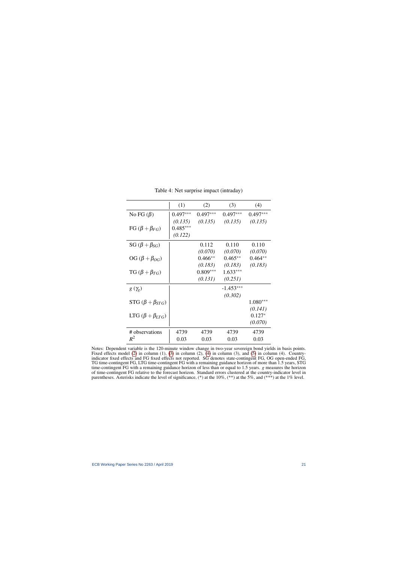<span id="page-21-0"></span>

|                             | (1)        | (2)        | (3)         | (4)        |
|-----------------------------|------------|------------|-------------|------------|
| No FG $(\beta)$             | $0.497***$ | $0.497***$ | $0.497***$  | $0.497***$ |
|                             | (0.135)    | (0.135)    | (0.135)     | (0.135)    |
| FG $(\beta + \beta_{FG})$   | $0.485***$ |            |             |            |
|                             | (0.122)    |            |             |            |
| SG $(\beta + \beta_{SG})$   |            | 0.112      | 0.110       | 0.110      |
|                             |            | (0.070)    | (0.070)     | (0.070)    |
| OG $(\beta + \beta_{OG})$   |            | $0.466**$  | $0.465**$   | $0.464**$  |
|                             |            | (0.183)    | (0.183)     | (0.183)    |
| TG $(\beta + \beta_{TG})$   |            | $0.809***$ | $1.633***$  |            |
|                             |            | (0.131)    | (0.251)     |            |
| $g(\gamma_g)$               |            |            | $-1.453***$ |            |
|                             |            |            | (0.302)     |            |
| STG $(\beta + \beta_{STG})$ |            |            |             | $1.080***$ |
|                             |            |            |             | (0.141)    |
| LTG $(\beta + \beta_{LTG})$ |            |            |             | $0.127*$   |
|                             |            |            |             | (0.070)    |
| # observations              | 4739       | 4739       | 4739        | 4739       |
| $R^2$                       | 0.03       | 0.03       | 0.03        | 0.03       |

Table 4: Net surprise impact (intraday)

Notes: Dependent variable is the 120-minute window change in two-year sovereign bond yields in basis points. Fixed effects model [\(2\)](#page-16-1) in column (1), [\(3\)](#page-16-2) in column (2), [\(4\)](#page-17-0) in column (3), and [\(5\)](#page-17-1) in column (4). Countryindicator fixed effects and FG fixed effects not reported. SG denotes state-contingent FG, OG open-ended FG, TG time-contingent FG, LTG time-contingent FG with a remaining guidance horizon of more than 1.5 years, STG time-contingent FG with a remaining guidance horizon of less than or equal to 1.5 years. *g* measures the horizon of time-contingent FG relative to the forecast horizon. Standard errors clustered at the country-indicator level in parentheses. Asterisks indicate the level of significance,  $(*)$  at the 10%,  $(**)$  at the 5%, and  $(***)$  at the 1% level.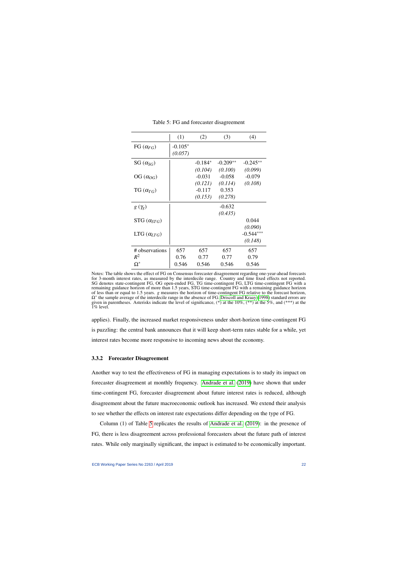<span id="page-22-0"></span>

|                      | (1)                  | (2)       | (3)        | (4)         |
|----------------------|----------------------|-----------|------------|-------------|
| FG $(\alpha_{FG})$   | $-0.105*$<br>(0.057) |           |            |             |
| SG $(\alpha_{SG})$   |                      | $-0.184*$ | $-0.209**$ | $-0.245**$  |
|                      |                      | (0.104)   | (0.100)    | (0.099)     |
| OG $(\alpha_{OG})$   |                      | $-0.031$  | $-0.058$   | $-0.079$    |
|                      |                      | (0.121)   | (0.114)    | (0.108)     |
| TG $(\alpha_{TG})$   |                      | $-0.117$  | 0.353      |             |
|                      |                      | (0.153)   | (0.278)    |             |
| $g(\gamma_g)$        |                      |           | $-0.632$   |             |
|                      |                      |           | (0.435)    |             |
| STG $(\alpha_{STG})$ |                      |           |            | 0.044       |
|                      |                      |           |            | (0.090)     |
| LTG $(\alpha_{LTG})$ |                      |           |            | $-0.544***$ |
|                      |                      |           |            | (0.148)     |
| # observations       | 657                  | 657       | 657        | 657         |
| $R^2$                | 0.76                 | 0.77      | 0.77       | 0.79        |
| $\Omega^*$           | 0.546                | 0.546     | 0.546      | 0.546       |

Table 5: FG and forecaster disagreement

applies). Finally, the increased market responsiveness under short-horizon time-contingent FG is puzzling: the central bank announces that it will keep short-term rates stable for a while, yet interest rates become more responsive to incoming news about the economy.

### 3.3.2 Forecaster Disagreement

Another way to test the effectiveness of FG in managing expectations is to study its impact on forecaster disagreement at monthly frequency. [Andrade et al.](#page-35-2) [\(2019\)](#page-35-2) have shown that under time-contingent FG, forecaster disagreement about future interest rates is reduced, although disagreement about the future macroeconomic outlook has increased. We extend their analysis to see whether the effects on interest rate expectations differ depending on the type of FG.

Column (1) of Table [5](#page-22-0) replicates the results of [Andrade et al.](#page-35-2) [\(2019\)](#page-35-2): in the presence of FG, there is less disagreement across professional forecasters about the future path of interest rates. While only marginally significant, the impact is estimated to be economically important.

Notes: The table shows the effect of FG on Consensus forecaster disagreement regarding one-year-ahead forecasts for 3-month interest rates, as measured by the interdecile range. Country and time fixed effects not reported. SG denotes state-contingent FG, OG open-ended FG, TG time-contingent FG, LTG time-contingent FG with a remaining guidance horizon of more than 1.5 years, STG time-contingent FG with a remaining guidance horizon of less than or equal to 1.5 years. *g* measures the horizon of time-contingent FG relative to the forecast horizon, Ω∗ the sample average of the interdecile range in the absence of FG. [Driscoll and Kraay](#page-35-18) [\(1998\)](#page-35-18) standard errors are given in parentheses. Asterisks indicate the level of significance,  $(*)$  at the 10%,  $(**)$  at the 5%, and  $(***)$  at the 1% level.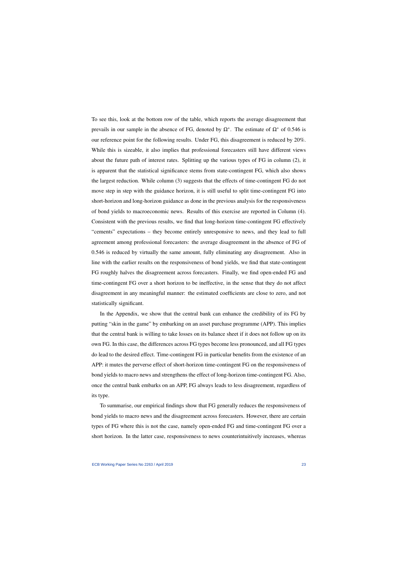To see this, look at the bottom row of the table, which reports the average disagreement that prevails in our sample in the absence of FG, denoted by  $\Omega^*$ . The estimate of  $\Omega^*$  of 0.546 is our reference point for the following results. Under FG, this disagreement is reduced by 20%. While this is sizeable, it also implies that professional forecasters still have different views about the future path of interest rates. Splitting up the various types of FG in column (2), it is apparent that the statistical significance stems from state-contingent FG, which also shows the largest reduction. While column (3) suggests that the effects of time-contingent FG do not move step in step with the guidance horizon, it is still useful to split time-contingent FG into short-horizon and long-horizon guidance as done in the previous analysis for the responsiveness of bond yields to macroeconomic news. Results of this exercise are reported in Column (4). Consistent with the previous results, we find that long-horizon time-contingent FG effectively "cements" expectations – they become entirely unresponsive to news, and they lead to full agreement among professional forecasters: the average disagreement in the absence of FG of 0.546 is reduced by virtually the same amount, fully eliminating any disagreement. Also in line with the earlier results on the responsiveness of bond yields, we find that state-contingent FG roughly halves the disagreement across forecasters. Finally, we find open-ended FG and time-contingent FG over a short horizon to be ineffective, in the sense that they do not affect disagreement in any meaningful manner: the estimated coefficients are close to zero, and not statistically significant.

In the Appendix, we show that the central bank can enhance the credibility of its FG by putting "skin in the game" by embarking on an asset purchase programme (APP). This implies that the central bank is willing to take losses on its balance sheet if it does not follow up on its own FG. In this case, the differences across FG types become less pronounced, and all FG types do lead to the desired effect. Time-contingent FG in particular benefits from the existence of an APP: it mutes the perverse effect of short-horizon time-contingent FG on the responsiveness of bond yields to macro news and strengthens the effect of long-horizon time-contingent FG. Also, once the central bank embarks on an APP, FG always leads to less disagreement, regardless of its type.

To summarise, our empirical findings show that FG generally reduces the responsiveness of bond yields to macro news and the disagreement across forecasters. However, there are certain types of FG where this is not the case, namely open-ended FG and time-contingent FG over a short horizon. In the latter case, responsiveness to news counterintuitively increases, whereas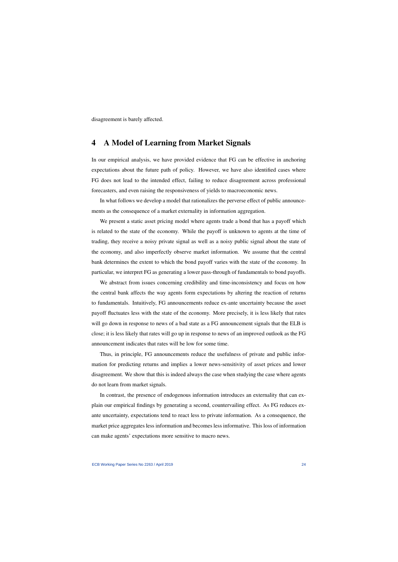disagreement is barely affected.

## 4 A Model of Learning from Market Signals

In our empirical analysis, we have provided evidence that FG can be effective in anchoring expectations about the future path of policy. However, we have also identified cases where FG does not lead to the intended effect, failing to reduce disagreement across professional forecasters, and even raising the responsiveness of yields to macroeconomic news.

In what follows we develop a model that rationalizes the perverse effect of public announcements as the consequence of a market externality in information aggregation.

<span id="page-24-0"></span>We present a static asset pricing model where agents trade a bond that has a payoff which is related to the state of the economy. While the payoff is unknown to agents at the time of trading, they receive a noisy private signal as well as a noisy public signal about the state of the economy, and also imperfectly observe market information. We assume that the central bank determines the extent to which the bond payoff varies with the state of the economy. In particular, we interpret FG as generating a lower pass-through of fundamentals to bond payoffs.

We abstract from issues concerning credibility and time-inconsistency and focus on how the central bank affects the way agents form expectations by altering the reaction of returns to fundamentals. Intuitively, FG announcements reduce ex-ante uncertainty because the asset payoff fluctuates less with the state of the economy. More precisely, it is less likely that rates will go down in response to news of a bad state as a FG announcement signals that the ELB is close; it is less likely that rates will go up in response to news of an improved outlook as the FG announcement indicates that rates will be low for some time.

Thus, in principle, FG announcements reduce the usefulness of private and public information for predicting returns and implies a lower news-sensitivity of asset prices and lower disagreement. We show that this is indeed always the case when studying the case where agents do not learn from market signals.

In contrast, the presence of endogenous information introduces an externality that can explain our empirical findings by generating a second, countervailing effect. As FG reduces exante uncertainty, expectations tend to react less to private information. As a consequence, the market price aggregates less information and becomes less informative. This loss of information can make agents' expectations more sensitive to macro news.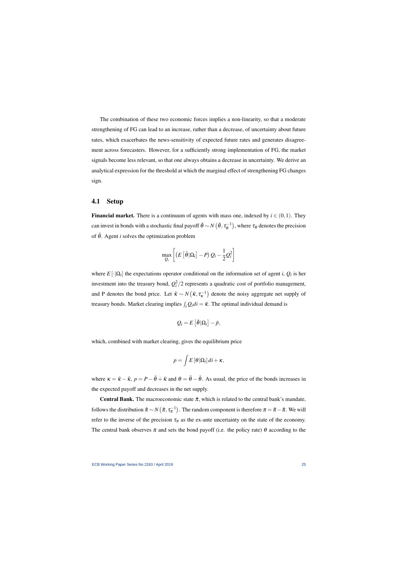The combination of these two economic forces implies a non-linearity, so that a moderate strengthening of FG can lead to an increase, rather than a decrease, of uncertainty about future rates, which exacerbates the news-sensitivity of expected future rates and generates disagreement across forecasters. However, for a sufficiently strong implementation of FG, the market signals become less relevant, so that one always obtains a decrease in uncertainty. We derive an analytical expression for the threshold at which the marginal effect of strengthening FG changes sign.

### 4.1 Setup

**Financial market.** There is a continuum of agents with mass one, indexed by  $i \in (0,1)$ . They can invest in bonds with a stochastic final payoff  $\tilde{\theta} \sim N\left(\bar{\theta}, \tau_{\theta}^{-1}\right)$  $\mathfrak{c}_{\theta}^{-1}$ ), where  $\tau_{\theta}$  denotes the precision of  $\tilde{\theta}$ . Agent *i* solves the optimization problem

$$
\max_{Q_i} \left[ \left( E\left[ \tilde{\theta} | \Omega_i \right] - P \right) Q_i - \frac{1}{2} Q_i^2 \right]
$$

where  $E[\cdot|\Omega_i]$  the expectations operator conditional on the information set of agent *i*,  $Q_i$  is her investment into the treasury bond,  $Q_i^2/2$  represents a quadratic cost of portfolio management, and P denotes the bond price. Let  $\tilde{\kappa} \sim N(\bar{\kappa}, \tau_{\kappa}^{-1})$  denote the noisy aggregate net supply of treasury bonds. Market clearing implies  $\int_i Q_i di = \tilde{\kappa}$ . The optimal individual demand is

$$
Q_i = E\left[\tilde{\theta}|\Omega_i\right] - \tilde{p},
$$

which, combined with market clearing, gives the equilibrium price

$$
p = \int E\left[\theta|\Omega_i\right]di + \kappa,
$$

where  $\kappa = \bar{\kappa} - \tilde{\kappa}$ ,  $p = P - \bar{\theta} + \bar{\kappa}$  and  $\theta = \tilde{\theta} - \bar{\theta}$ . As usual, the price of the bonds increases in the expected payoff and decreases in the net supply.

**Central Bank.** The macroeconomic state  $\tilde{\pi}$ , which is related to the central bank's mandate, follows the distribution  $\tilde{\pi} \sim N(\bar{\pi}, \tau_{\pi}^{-1})$ . The random component is therefore  $\pi = \tilde{\pi} - \bar{\pi}$ . We will refer to the inverse of the precision  $\tau_{\pi}$  as the ex-ante uncertainty on the state of the economy. The central bank observes  $\pi$  and sets the bond payoff (i.e. the policy rate)  $\theta$  according to the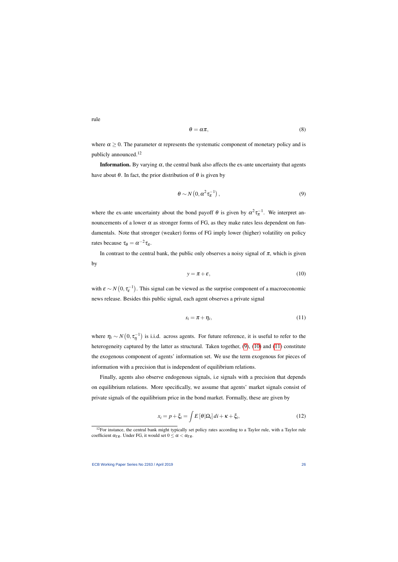rule

$$
\theta = \alpha \pi,\tag{8}
$$

where  $\alpha \geq 0$ . The parameter  $\alpha$  represents the systematic component of monetary policy and is publicly announced.<sup>12</sup>

**Information.** By varying  $\alpha$ , the central bank also affects the ex-ante uncertainty that agents have about  $\theta$ . In fact, the prior distribution of  $\theta$  is given by

$$
\theta \sim N\left(0, \alpha^2 \tau_{\pi}^{-1}\right),\tag{9}
$$

where the ex-ante uncertainty about the bond payoff  $\theta$  is given by  $\alpha^2 \tau_{\pi}^{-1}$ . We interpret announcements of a lower  $\alpha$  as stronger forms of FG, as they make rates less dependent on fundamentals. Note that stronger (weaker) forms of FG imply lower (higher) volatility on policy rates because  $\tau_{\theta} = \alpha^{-2} \tau_{\pi}$ .

<span id="page-26-0"></span>In contrast to the central bank, the public only observes a noisy signal of  $\pi$ , which is given by

$$
y = \pi + \varepsilon, \tag{10}
$$

with  $\varepsilon \sim N(0, \tau_{\varepsilon}^{-1})$ . This signal can be viewed as the surprise component of a macroeconomic news release. Besides this public signal, each agent observes a private signal

$$
s_i = \pi + \eta_i,\tag{11}
$$

<span id="page-26-1"></span>where  $\eta_i \sim N(0, \tau_0^{-1})$  is i.i.d. across agents. For future reference, it is useful to refer to the heterogeneity captured by the latter as structural. Taken together, [\(9\)](#page-26-0), [\(10\)](#page-26-1) and [\(11\)](#page-26-2) constitute the exogenous component of agents' information set. We use the term exogenous for pieces of information with a precision that is independent of equilibrium relations.

Finally, agents also observe endogenous signals, i.e signals with a precision that depends on equilibrium relations. More specifically, we assume that agents' market signals consist of private signals of the equilibrium price in the bond market. Formally, these are given by

<span id="page-26-2"></span>
$$
x_i = p + \xi_i = \int E\left[\theta|\Omega_i\right]di + \kappa + \xi_i,\tag{12}
$$

 $12$ For instance, the central bank might typically set policy rates according to a Taylor rule, with a Taylor rule coefficient  $\alpha_{TR}$ . Under FG, it would set  $0 \leq \alpha < \alpha_{TR}$ .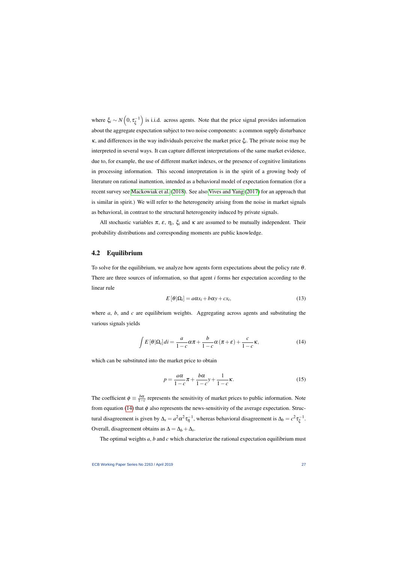where  $\xi_i \sim N\left(0, \tau_{\xi}^{-1}\right)$ ξ ) is i.i.d. across agents. Note that the price signal provides information about the aggregate expectation subject to two noise components: a common supply disturbance  $\kappa$ , and differences in the way individuals perceive the market price  $\xi$ <sup>*i*</sup>. The private noise may be interpreted in several ways. It can capture different interpretations of the same market evidence, due to, for example, the use of different market indexes, or the presence of cognitive limitations in processing information. This second interpretation is in the spirit of a growing body of literature on rational inattention, intended as a behavioral model of expectation formation (for a recent survey see [Mackowiak et al.](#page-36-14) [\(2018\)](#page-36-14). See also [Vives and Yang](#page-36-15) [\(2017\)](#page-36-15) for an approach that is similar in spirit.) We will refer to the heterogeneity arising from the noise in market signals as behavioral, in contrast to the structural heterogeneity induced by private signals.

All stochastic variables  $\pi$ ,  $\varepsilon$ ,  $\eta$ *<sub>i</sub>*,  $\xi$ *i* and  $\kappa$  are assumed to be mutually independent. Their probability distributions and corresponding moments are public knowledge.

### 4.2 Equilibrium

To solve for the equilibrium, we analyze how agents form expectations about the policy rate  $\theta$ . There are three sources of information, so that agent *i* forms her expectation according to the linear rule

$$
E\left[\theta|\Omega_i\right] = a\alpha s_i + b\alpha y + c x_i,\tag{13}
$$

where *a*, *b*, and *c* are equilibrium weights. Aggregating across agents and substituting the various signals yields

$$
\int E\left[\theta|\Omega_i\right]di = \frac{a}{1-c}\alpha\pi + \frac{b}{1-c}\alpha\left(\pi + \varepsilon\right) + \frac{c}{1-c}\kappa,\tag{14}
$$

<span id="page-27-1"></span>which can be substituted into the market price to obtain

$$
p = \frac{a\alpha}{1 - c}\pi + \frac{b\alpha}{1 - c}y + \frac{1}{1 - c}\kappa.
$$
 (15)

<span id="page-27-0"></span>The coefficient  $\phi \equiv \frac{b\alpha}{1-\alpha}$  $\frac{b\alpha}{1-c}$  represents the sensitivity of market prices to public information. Note from equation [\(14\)](#page-27-0) that  $\phi$  also represents the news-sensitivity of the average expectation. Structural disagreement is given by  $\Delta_s = a^2 \alpha^2 \tau_{\eta}^{-1}$ , whereas behavioral disagreement is  $\Delta_b = c^2 \tau_{\xi}^{-1}$ .–1<br>'ξ Overall, disagreement obtains as  $\Delta = \Delta_b + \Delta_s$ .

<span id="page-27-2"></span>The optimal weights *a*, *b* and *c* which characterize the rational expectation equilibrium must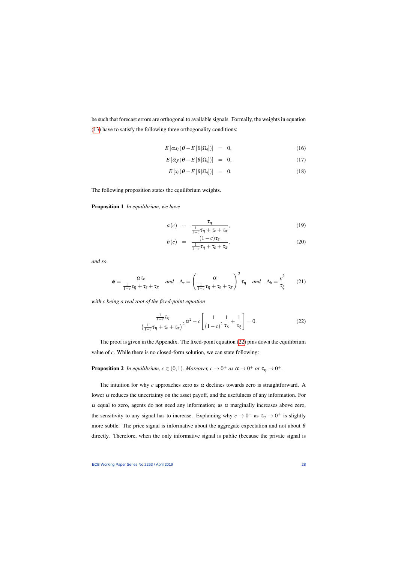be such that forecast errors are orthogonal to available signals. Formally, the weights in equation [\(13\)](#page-27-1) have to satisfy the following three orthogonality conditions:

$$
E\left[\alpha s_i\left(\theta - E\left[\theta|\Omega_i\right]\right)\right] = 0, \qquad (16)
$$

$$
E\left[\alpha y\left(\theta - E\left[\theta|\Omega_i\right]\right)\right] = 0, \tag{17}
$$

$$
E\left[x_i\left(\theta - E\left[\theta|\Omega_i\right]\right)\right] = 0. \tag{18}
$$

The following proposition states the equilibrium weights.

<span id="page-28-4"></span>Proposition 1 *In equilibrium, we have*

$$
a(c) = \frac{\tau_{\eta}}{\frac{1}{1-c}\tau_{\eta} + \tau_{\varepsilon} + \tau_{\pi}},
$$
\n(19)

$$
b(c) = \frac{(1-c)\tau_{\varepsilon}}{\frac{1}{1-c}\tau_{\eta} + \tau_{\varepsilon} + \tau_{\pi}},
$$
\n(20)

<span id="page-28-3"></span>*and so*

$$
\phi = \frac{\alpha \tau_{\varepsilon}}{\frac{1}{1-c} \tau_{\eta} + \tau_{\varepsilon} + \tau_{\pi}} \quad \text{and} \quad \Delta_{s} = \left(\frac{\alpha}{\frac{1}{1-c} \tau_{\eta} + \tau_{\varepsilon} + \tau_{\pi}}\right)^{2} \tau_{\eta} \quad \text{and} \quad \Delta_{b} = \frac{c^{2}}{\tau_{\xi}} \tag{21}
$$

<span id="page-28-1"></span>*with c being a real root of the fixed-point equation*

$$
\frac{\frac{1}{1-c}\tau_{\eta}}{\left(\frac{1}{1-c}\tau_{\eta}+\tau_{\varepsilon}+\tau_{\pi}\right)^2}\alpha^2 - c\left[\frac{1}{(1-c)^2}\frac{1}{\tau_{\kappa}}+\frac{1}{\tau_{\xi}}\right] = 0.
$$
\n(22)

The proof is given in the Appendix. The fixed-point equation [\(22\)](#page-28-0) pins down the equilibrium value of *c*. While there is no closed-form solution, we can state following:

<span id="page-28-2"></span>**Proposition 2** In equilibrium,  $c \in (0,1)$ . Moreover,  $c \to 0^+$  as  $\alpha \to 0^+$  or  $\tau_\eta \to 0^+$ .

<span id="page-28-0"></span>The intuition for why  $c$  approaches zero as  $\alpha$  declines towards zero is straightforward. A lower  $α$  reduces the uncertainty on the asset payoff, and the usefulness of any information. For  $\alpha$  equal to zero, agents do not need any information; as  $\alpha$  marginally increases above zero, the sensitivity to any signal has to increase. Explaining why  $c \to 0^+$  as  $\tau_\eta \to 0^+$  is slightly more subtle. The price signal is informative about the aggregate expectation and not about  $\theta$ directly. Therefore, when the only informative signal is public (because the private signal is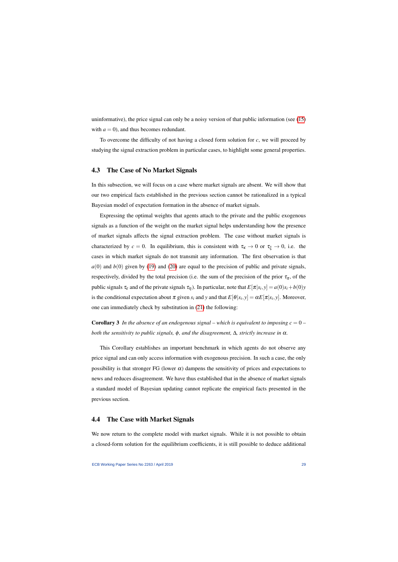uninformative), the price signal can only be a noisy version of that public information (see [\(15\)](#page-27-2) with  $a = 0$ , and thus becomes redundant.

To overcome the difficulty of not having a closed form solution for *c*, we will proceed by studying the signal extraction problem in particular cases, to highlight some general properties.

### 4.3 The Case of No Market Signals

In this subsection, we will focus on a case where market signals are absent. We will show that our two empirical facts established in the previous section cannot be rationalized in a typical Bayesian model of expectation formation in the absence of market signals.

Expressing the optimal weights that agents attach to the private and the public exogenous signals as a function of the weight on the market signal helps understanding how the presence of market signals affects the signal extraction problem. The case without market signals is characterized by  $c = 0$ . In equilibrium, this is consistent with  $\tau_K \to 0$  or  $\tau_\xi \to 0$ , i.e. the cases in which market signals do not transmit any information. The first observation is that  $a(0)$  and  $b(0)$  given by [\(19\)](#page-28-1) and [\(20\)](#page-28-1) are equal to the precision of public and private signals, respectively, divided by the total precision (i.e. the sum of the precision of the prior  $\tau_{\pi}$ , of the public signals  $\tau_{\varepsilon}$  and of the private signals  $\tau_{\eta}$ ). In particular, note that  $E[\pi|s_i, y] = a(0)s_i + b(0)y$ is the conditional expectation about  $\pi$  given  $s_i$  and  $y$  and that  $E[\theta|s_i, y] = \alpha E[\pi|s_i, y]$ . Moreover, one can immediately check by substitution in [\(21\)](#page-28-2) the following:

**Corollary 3** In the absence of an endogenous signal – which is equivalent to imposing  $c = 0$  – *both the sensitivity to public signals,* φ*, and the disagreement,* ∆*, strictly increase in* α*.*

This Corollary establishes an important benchmark in which agents do not observe any price signal and can only access information with exogenous precision. In such a case, the only possibility is that stronger FG (lower  $\alpha$ ) dampens the sensitivity of prices and expectations to news and reduces disagreement. We have thus established that in the absence of market signals a standard model of Bayesian updating cannot replicate the empirical facts presented in the previous section.

### 4.4 The Case with Market Signals

We now return to the complete model with market signals. While it is not possible to obtain a closed-form solution for the equilibrium coefficients, it is still possible to deduce additional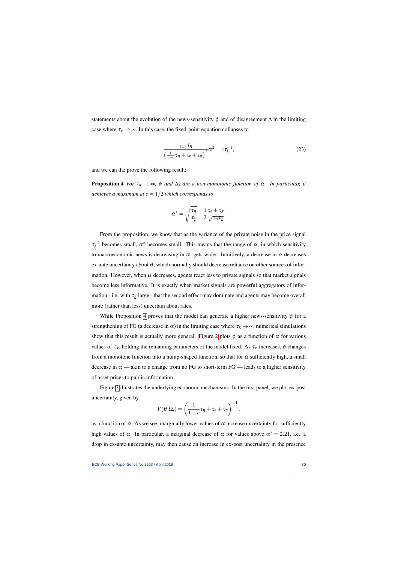statements about the evolution of the news-sensitivity  $\phi$  and of disagreement  $\Delta$  in the limiting case where  $\tau_{\kappa} \rightarrow \infty$ . In this case, the fixed-point equation collapses to

$$
\frac{\frac{1}{1-c}\tau_{\eta}}{\left(\frac{1}{1-c}\tau_{\eta}+\tau_{\varepsilon}+\tau_{\pi}\right)^2}\alpha^2=c\tau_{\xi}^{-1},\tag{23}
$$

and we can the prove the following result:

**Proposition 4** *For*  $\tau_{\kappa} \to \infty$ ,  $\phi$  *and*  $\Delta_{s}$  *are a non-monotonic function of*  $\alpha$ *. In particular, it achieves a maximum at*  $c = 1/2$  *which corresponds to* 

$$
\alpha^* = \sqrt{\frac{\tau_\eta}{\tau_\xi}} + \frac{1}{2} \frac{\tau_\epsilon + \tau_\pi}{\sqrt{\tau_\eta \tau_\xi}}.
$$

<span id="page-30-1"></span><span id="page-30-0"></span>From the proposition, we know that as the variance of the private noise in the price signal  $\tau_{\varepsilon}^{-1}$  $\zeta^{-1}$  becomes small,  $\alpha^*$  becomes small. This means that the range of  $\alpha$ , in which sensitivity to macroeconomic news is decreasing in  $\alpha$ , gets wider. Intuitively, a decrease in  $\alpha$  decreases ex-ante uncertainty about  $\theta$ , which normally should decrease reliance on other sources of information. However, when  $\alpha$  decreases, agents react less to private signals so that market signals become less informative. It is exactly when market signals are powerful aggregators of information - i.e. with  $\tau_{\xi}$  large - that the second effect may dominate and agents may become overall more (rather than less) uncertain about rates.

While Proposition [4](#page-30-0) proves that the model can generate a higher news-sensitivity  $\phi$  for a strengthening of FG (a decrease in  $\alpha$ ) in the limiting case where  $\tau_k \to \infty$ , numerical simulations show that this result is actually more general. [Figure 2](#page-31-0) plots  $\phi$  as a function of  $\alpha$  for various values of  $\tau_{\kappa}$ , holding the remaining parameters of the model fixed. As  $\tau_{\kappa}$  increases,  $\phi$  changes from a monotone function into a hump-shaped function, so that for  $\alpha$  sufficiently high, a small decrease in  $\alpha$  — akin to a change from no FG to short-term FG — leads to a higher sensitivity of asset prices to public information.

Figure [3](#page-32-0) illustrates the underlying economic mechanisms. In the first panel, we plot ex-post uncertainty, given by

$$
V(\theta|\Omega_i) = \left(\frac{1}{1-c}\tau_{\eta} + \tau_{\varepsilon} + \tau_{\pi}\right)^{-1},
$$

as a function of  $\alpha$ . As we see, marginally lower values of  $\alpha$  increase uncertainty for sufficiently high values of  $\alpha$ . In particular, a marginal decrease of  $\alpha$  for values above  $\alpha^* = 2.21$ , i.e. a drop in ex-ante uncertainty, may then cause an increase in ex-post uncertainty in the presence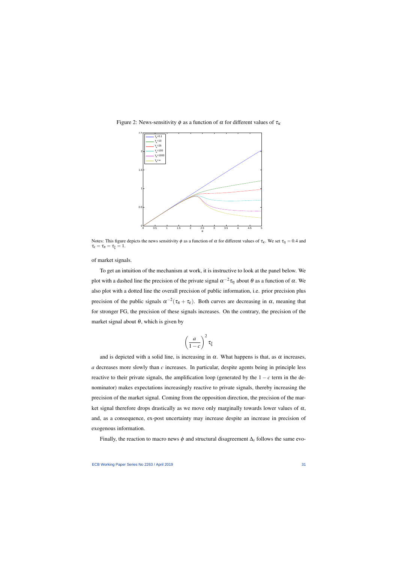

Figure 2: News-sensitivity  $\phi$  as a function of  $\alpha$  for different values of  $\tau_K$ 

<span id="page-31-0"></span>Notes: This figure depicts the news sensitivity  $\phi$  as a function of  $\alpha$  for different values of  $\tau_k$ . We set  $\tau_{\eta} = 0.4$  and  $\tau_{\varepsilon} = \tau_{\pi} = \tau_{\xi} = 1.$ 

of market signals.

To get an intuition of the mechanism at work, it is instructive to look at the panel below. We plot with a dashed line the precision of the private signal  $\alpha^{-2} \tau_{\eta}$  about θ as a function of α. We also plot with a dotted line the overall precision of public information, i.e. prior precision plus precision of the public signals  $\alpha^{-2}(\tau_{\pi}+\tau_{\epsilon})$ . Both curves are decreasing in  $\alpha$ , meaning that for stronger FG, the precision of these signals increases. On the contrary, the precision of the market signal about  $\theta$ , which is given by

$$
\left(\frac{a}{1-c}\right)^2\tau_\xi
$$

and is depicted with a solid line, is increasing in  $\alpha$ . What happens is that, as  $\alpha$  increases, *a* decreases more slowly than *c* increases. In particular, despite agents being in principle less reactive to their private signals, the amplification loop (generated by the  $1 - c$  term in the denominator) makes expectations increasingly reactive to private signals, thereby increasing the precision of the market signal. Coming from the opposition direction, the precision of the market signal therefore drops drastically as we move only marginally towards lower values of  $\alpha$ , and, as a consequence, ex-post uncertainty may increase despite an increase in precision of exogenous information.

Finally, the reaction to macro news  $\phi$  and structural disagreement  $\Delta_s$  follows the same evo-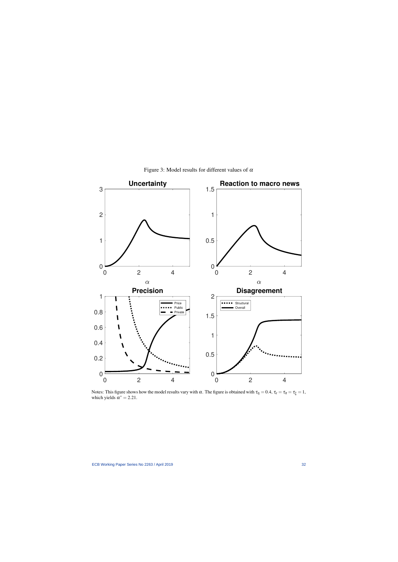<span id="page-32-0"></span>

Figure 3: Model results for different values of  $\alpha$ 

Notes: This figure shows how the model results vary with  $\alpha$ . The figure is obtained with  $\tau_{\eta} = 0.4$ ,  $\tau_{\varepsilon} = \tau_{\pi} = \tau_{\xi} = 1$ , which yields  $\alpha^* = 2.21$ .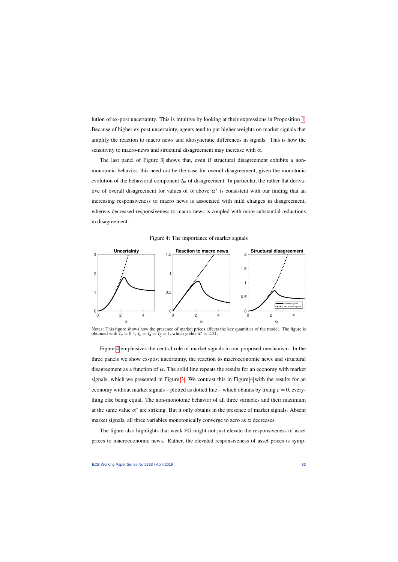lution of ex-post uncertainty. This is intuitive by looking at their expressions in Proposition [1.](#page-28-3) Because of higher ex-post uncertainty, agents tend to put higher weights on market signals that amplify the reaction to macro news and idiosyncratic differences in signals. This is how the sensitivity to macro-news and structural disagreement may increase with  $\alpha$ .

The last panel of Figure [3](#page-32-0) shows that, even if structural disagreement exhibits a nonmonotonic behavior, this need not be the case for overall disagreement, given the monotonic evolution of the behavioral component ∆*<sup>b</sup>* of disagreement. In particular, the rather flat derivative of overall disagreement for values of  $\alpha$  above  $\alpha^*$  is consistent with our finding that an increasing responsiveness to macro news is associated with mild changes in disagreement, whereas decreased responsiveness to macro news is coupled with more substantial reductions in disagreement.





<span id="page-33-0"></span>Notes: This figure shows how the presence of market prices affects the key quantities of the model. The figure is obtained with  $\tau_{\eta} = 0.4$ ,  $\tau_{\varepsilon} = \tau_{\pi} = \tau_{\xi} = 1$ , which yields  $\alpha^* = 2.21$ .

Figure [4](#page-33-0) emphasizes the central role of market signals in our proposed mechanism. In the three panels we show ex-post uncertainty, the reaction to macroeconomic news and structural disagreement as a function of  $\alpha$ . The solid line repeats the results for an economy with market signals, which we presented in Figure [3.](#page-32-0) We contrast this in Figure [4](#page-33-0) with the results for an economy without market signals – plotted as dotted line – which obtains by fixing  $c = 0$ , everything else being equal. The non-monotonic behavior of all three variables and their maximum at the same value  $\alpha^*$  are striking. But it only obtains in the presence of market signals. Absent market signals, all three variables monotonically converge to zero as  $\alpha$  decreases.

The figure also highlights that weak FG might not just elevate the responsiveness of asset prices to macroeconomic news. Rather, the elevated responsiveness of asset prices is symp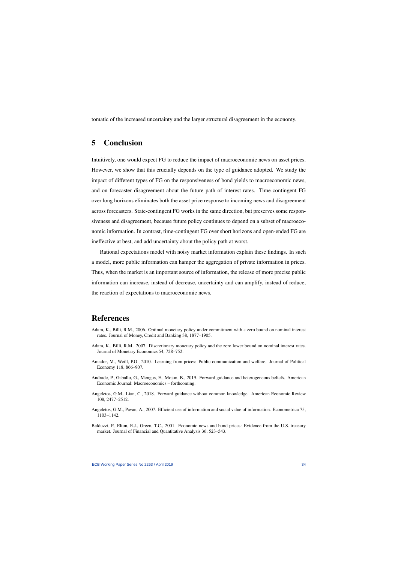tomatic of the increased uncertainty and the larger structural disagreement in the economy.

## 5 Conclusion

Intuitively, one would expect FG to reduce the impact of macroeconomic news on asset prices. However, we show that this crucially depends on the type of guidance adopted. We study the impact of different types of FG on the responsiveness of bond yields to macroeconomic news, and on forecaster disagreement about the future path of interest rates. Time-contingent FG over long horizons eliminates both the asset price response to incoming news and disagreement across forecasters. State-contingent FG works in the same direction, but preserves some responsiveness and disagreement, because future policy continues to depend on a subset of macroeconomic information. In contrast, time-contingent FG over short horizons and open-ended FG are ineffective at best, and add uncertainty about the policy path at worst.

<span id="page-34-0"></span>Rational expectations model with noisy market information explain these findings. In such a model, more public information can hamper the aggregation of private information in prices. Thus, when the market is an important source of information, the release of more precise public information can increase, instead of decrease, uncertainty and can amplify, instead of reduce, the reaction of expectations to macroeconomic news.

## References

- Adam, K., Billi, R.M., 2006. Optimal monetary policy under commitment with a zero bound on nominal interest rates. Journal of Money, Credit and Banking 38, 1877–1905.
- Adam, K., Billi, R.M., 2007. Discretionary monetary policy and the zero lower bound on nominal interest rates. Journal of Monetary Economics 54, 728–752.
- Amador, M., Weill, P.O., 2010. Learning from prices: Public communication and welfare. Journal of Political Economy 118, 866–907.
- Andrade, P., Gaballo, G., Mengus, E., Mojon, B., 2019. Forward guidance and heterogeneous beliefs. American Economic Journal: Macroeconomics – forthcoming.
- Angeletos, G.M., Lian, C., 2018. Forward guidance without common knowledge. American Economic Review 108, 2477–2512.
- Angeletos, G.M., Pavan, A., 2007. Efficient use of information and social value of information. Econometrica 75, 1103–1142.
- <span id="page-34-2"></span><span id="page-34-1"></span>Balduzzi, P., Elton, E.J., Green, T.C., 2001. Economic news and bond prices: Evidence from the U.S. treasury market. Journal of Financial and Quantitative Analysis 36, 523–543.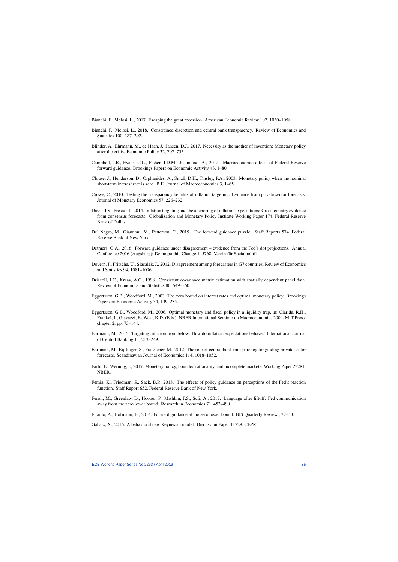Bianchi, F., Melosi, L., 2017. Escaping the great recession. American Economic Review 107, 1030–1058.

- Bianchi, F., Melosi, L., 2018. Constrained discretion and central bank transparency. Review of Economics and Statistics 100, 187–202.
- Blinder, A., Ehrmann, M., de Haan, J., Jansen, D.J., 2017. Necessity as the mother of invention: Monetary policy after the crisis. Economic Policy 32, 707–755.
- Campbell, J.R., Evans, C.L., Fisher, J.D.M., Justiniano, A., 2012. Macroeconomic effects of Federal Reserve forward guidance. Brookings Papers on Economic Activity 43, 1–80.
- Clouse, J., Henderson, D., Orphanides, A., Small, D.H., Tinsley, P.A., 2003. Monetary policy when the nominal short-term interest rate is zero. B.E. Journal of Macroeconomics 3, 1–65.
- <span id="page-35-8"></span>Crowe, C., 2010. Testing the transparency benefits of inflation targeting: Evidence from private sector forecasts. Journal of Monetary Economics 57, 226–232.
- <span id="page-35-2"></span>Davis, J.S., Presno, I., 2014. Inflation targeting and the anchoring of inflation expectations: Cross-country evidence from consensus forecasts. Globalization and Monetary Policy Institute Working Paper 174. Federal Reserve Bank of Dallas.
- <span id="page-35-0"></span>Del Negro, M., Giannoni, M., Patterson, C., 2015. The forward guidance puzzle. Staff Reports 574. Federal Reserve Bank of New York.
- <span id="page-35-7"></span>Detmers, G.A., 2016. Forward guidance under disagreement – evidence from the Fed's dot projections. Annual Conference 2016 (Augsburg): Demographic Change 145768. Verein für Socialpolitik.
- <span id="page-35-17"></span>Dovern, J., Fritsche, U., Slacalek, J., 2012. Disagreement among forecasters in G7 countries. Review of Economics and Statistics 94, 1081–1096.
- <span id="page-35-10"></span>Driscoll, J.C., Kraay, A.C., 1998. Consistent covariance matrix estimation with spatially dependent panel data. Review of Economics and Statistics 80, 549–560.
- <span id="page-35-11"></span>Eggertsson, G.B., Woodford, M., 2003. The zero bound on interest rates and optimal monetary policy. Brookings Papers on Economic Activity 34, 139–235.
- <span id="page-35-6"></span><span id="page-35-3"></span>Eggertsson, G.B., Woodford, M., 2006. Optimal monetary and fiscal policy in a liquidity trap, in: Clarida, R.H., Frankel, J., Giavazzi, F., West, K.D. (Eds.), NBER International Seminar on Macroeconomics 2004. MIT Press. chapter 2, pp. 75–144.
- <span id="page-35-19"></span>Ehrmann, M., 2015. Targeting inflation from below: How do inflation expectations behave? International Journal of Central Banking 11, 213–249.
- <span id="page-35-13"></span>Ehrmann, M., Eijffinger, S., Fratzscher, M., 2012. The role of central bank transparency for guiding private sector forecasts. Scandinavian Journal of Economics 114, 1018–1052.
- <span id="page-35-16"></span>Farhi, E., Werning, I., 2017. Monetary policy, bounded rationality, and incomplete markets. Working Paper 23281. NBER.
- Femia, K., Friedman, S., Sack, B.P., 2013. The effects of policy guidance on perceptions of the Fed's reaction function. Staff Report 652. Federal Reserve Bank of New York.
- <span id="page-35-9"></span><span id="page-35-1"></span>Feroli, M., Greenlaw, D., Hooper, P., Mishkin, F.S., Sufi, A., 2017. Language after liftoff: Fed communication away from the zero lower bound. Research in Economics 71, 452–490.
- Filardo, A., Hofmann, B., 2014. Forward guidance at the zero lower bound. BIS Quarterly Review , 37–53.

<span id="page-35-18"></span><span id="page-35-15"></span><span id="page-35-14"></span><span id="page-35-12"></span><span id="page-35-5"></span><span id="page-35-4"></span>Gabaix, X., 2016. A behavioral new Keynesian model. Discussion Paper 11729. CEPR.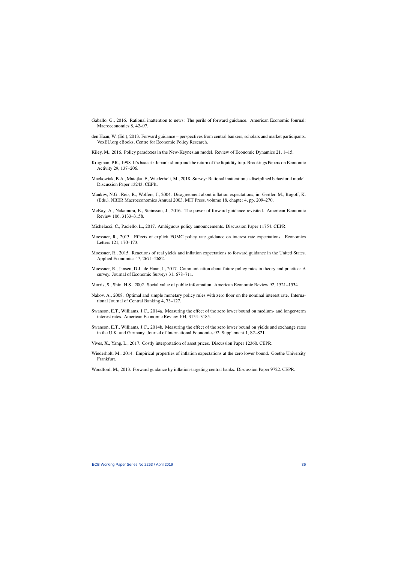- Gaballo, G., 2016. Rational inattention to news: The perils of forward guidance. American Economic Journal: Macroeconomics 8, 42–97.
- den Haan, W. (Ed.), 2013. Forward guidance perspectives from central bankers, scholars and market participants. VoxEU.org eBooks, Centre for Economic Policy Research.
- Kiley, M., 2016. Policy paradoxes in the New-Keynesian model. Review of Economic Dynamics 21, 1–15.
- Krugman, P.R., 1998. It's baaack: Japan's slump and the return of the liquidity trap. Brookings Papers on Economic Activity 29, 137–206.
- Mackowiak, B.A., Matejka, F., Wiederholt, M., 2018. Survey: Rational inattention, a disciplined behavioral model. Discussion Paper 13243. CEPR.
- <span id="page-36-17"></span>Mankiw, N.G., Reis, R., Wolfers, J., 2004. Disagreement about inflation expectations, in: Gertler, M., Rogoff, K. (Eds.), NBER Macroeconomics Annual 2003. MIT Press. volume 18. chapter 4, pp. 209–270.
- <span id="page-36-4"></span>McKay, A., Nakamura, E., Steinsson, J., 2016. The power of forward guidance revisited. American Economic Review 106, 3133–3158.
- Michelacci, C., Paciello, L., 2017. Ambiguous policy announcements. Discussion Paper 11754. CEPR.
- <span id="page-36-1"></span>Moessner, R., 2013. Effects of explicit FOMC policy rate guidance on interest rate expectations. Economics Letters 121, 170–173.
- <span id="page-36-18"></span><span id="page-36-9"></span>Moessner, R., 2015. Reactions of real yields and inflation expectations to forward guidance in the United States. Applied Economics 47, 2671–2682.
- <span id="page-36-16"></span>Moessner, R., Jansen, D.J., de Haan, J., 2017. Communication about future policy rates in theory and practice: A survey. Journal of Economic Surveys 31, 678–711.
- <span id="page-36-13"></span>Morris, S., Shin, H.S., 2002. Social value of public information. American Economic Review 92, 1521–1534.
- <span id="page-36-20"></span>Nakov, A., 2008. Optimal and simple monetary policy rules with zero floor on the nominal interest rate. International Journal of Central Banking 4, 73–127.
- <span id="page-36-11"></span>Swanson, E.T., Williams, J.C., 2014a. Measuring the effect of the zero lower bound on medium- and longer-term interest rates. American Economic Review 104, 3154–3185.
- <span id="page-36-14"></span>Swanson, E.T., Williams, J.C., 2014b. Measuring the effect of the zero lower bound on yields and exchange rates in the U.K. and Germany. Journal of International Economics 92, Supplement 1, S2–S21.
- <span id="page-36-22"></span>Vives, X., Yang, L., 2017. Costly interpretation of asset prices. Discussion Paper 12360. CEPR.
- <span id="page-36-19"></span>Wiederholt, M., 2014. Empirical properties of inflation expectations at the zero lower bound. Goethe University Frankfurt.
- <span id="page-36-21"></span><span id="page-36-15"></span><span id="page-36-12"></span><span id="page-36-10"></span><span id="page-36-8"></span><span id="page-36-7"></span><span id="page-36-6"></span><span id="page-36-5"></span><span id="page-36-3"></span><span id="page-36-2"></span><span id="page-36-0"></span>Woodford, M., 2013. Forward guidance by inflation-targeting central banks. Discussion Paper 9722. CEPR.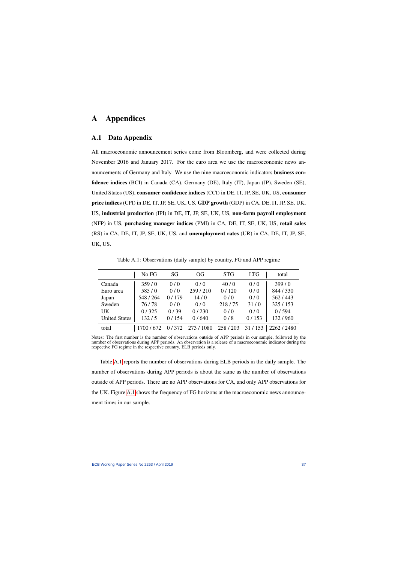## A Appendices

## A.1 Data Appendix

All macroeconomic announcement series come from Bloomberg, and were collected during November 2016 and January 2017. For the euro area we use the macroeconomic news announcements of Germany and Italy. We use the nine macroeconomic indicators business confidence indices (BCI) in Canada (CA), Germany (DE), Italy (IT), Japan (JP), Sweden (SE), United States (US), consumer confidence indices (CCI) in DE, IT, JP, SE, UK, US, consumer price indices (CPI) in DE, IT, JP, SE, UK, US, GDP growth (GDP) in CA, DE, IT, JP, SE, UK, US, industrial production (IPI) in DE, IT, JP, SE, UK, US, non-farm payroll employment (NFP) in US, purchasing manager indices (PMI) in CA, DE, IT, SE, UK, US, retail sales (RS) in CA, DE, IT, JP, SE, UK, US, and unemployment rates (UR) in CA, DE, IT, JP, SE, UK, US.

Table A.1: Observations (daily sample) by country, FG and APP regime

|                      | No FG     | SG    | <b>OG</b> | <b>STG</b> | <b>LTG</b> | total     |
|----------------------|-----------|-------|-----------|------------|------------|-----------|
| Canada               | 359/0     | 0/0   | 0/0       | 40/0       | 0/0        | 399/0     |
| Euro area            | 585/0     | 0/0   | 259/210   | 0/120      | 0/0        | 844/330   |
| Japan                | 548 / 264 | 0/179 | 14/0      | 0/0        | 0/0        | 562/443   |
| Sweden               | 76/78     | 0/0   | 0/0       | 218/75     | 31/0       | 325/153   |
| UK                   | 0/325     | 0/39  | 0/230     | 0/0        | 0/0        | 0/594     |
| <b>United States</b> | 132/5     | 0/154 | 0/640     | 0/8        | 0/153      | 132/960   |
| total                | 1700/672  | 0/372 | 273/1080  | 258/203    | 31/153     | 2262/2480 |

<span id="page-37-0"></span>Notes: The first number is the number of observations outside of APP periods in our sample, followed by the number of observations during APP periods. An observation is a release of a macroeconomic indicator during the respective FG regime in the respective country. ELB periods only.

Table [A.1](#page-37-0) reports the number of observations during ELB periods in the daily sample. The number of observations during APP periods is about the same as the number of observations outside of APP periods. There are no APP observations for CA, and only APP observations for the UK. Figure [A.1](#page-38-0) shows the frequency of FG horizons at the macroeconomic news announcement times in our sample.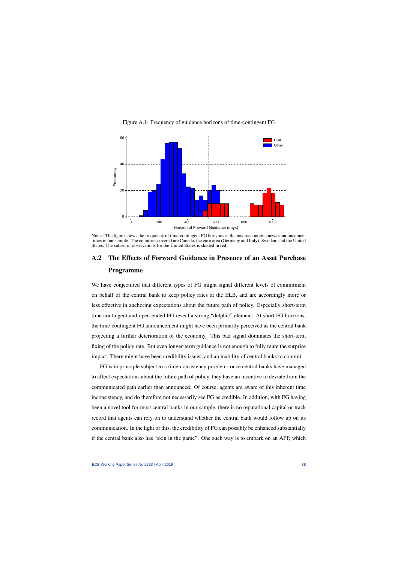

Figure A.1: Frequency of guidance horizons of time-contingent FG

<span id="page-38-0"></span>Notes: The figure shows the frequency of time-contingent FG horizons at the macroeconomic news announcement times in our sample. The countries covered are Canada, the euro area (Germany and Italy), Sweden, and the United States. The subset of observations for the United States is shaded in red.

## A.2 The Effects of Forward Guidance in Presence of an Asset Purchase Programme

We have conjectured that different types of FG might signal different levels of commitment on behalf of the central bank to keep policy rates at the ELB, and are accordingly more or less effective in anchoring expectations about the future path of policy. Especially short-term time-contingent and open-ended FG reveal a strong "delphic" element. At short FG horizons, the time-contingent FG announcement might have been primarily perceived as the central bank projecting a further deterioration of the economy. This bad signal dominates the short-term fixing of the policy rate. But even longer-term guidance is not enough to fully mute the surprise impact. There might have been credibility issues, and an inability of central banks to commit.

FG is in principle subject to a time-consistency problem: once central banks have managed to affect expectations about the future path of policy, they have an incentive to deviate from the communicated path earlier than announced. Of course, agents are aware of this inherent time inconsistency, and do therefore not necessarily see FG as credible. In addition, with FG having been a novel tool for most central banks in our sample, there is no reputational capital or track record that agents can rely on to understand whether the central bank would follow up on its communication. In the light of this, the credibility of FG can possibly be enhanced substantially if the central bank also has "skin in the game". One such way is to embark on an APP, which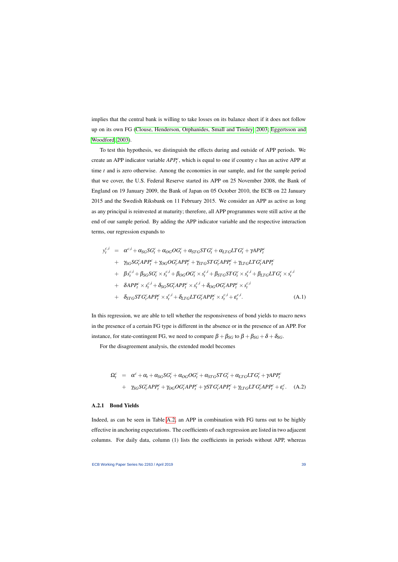implies that the central bank is willing to take losses on its balance sheet if it does not follow up on its own FG [\(Clouse, Henderson, Orphanides, Small and Tinsley, 2003;](#page-35-19) [Eggertsson and](#page-35-4) [Woodford, 2003\)](#page-35-4).

To test this hypothesis, we distinguish the effects during and outside of APP periods. We create an APP indicator variable  $APP<sub>t</sub><sup>c</sup>$ , which is equal to one if country *c* has an active APP at time *t* and is zero otherwise. Among the economies in our sample, and for the sample period that we cover, the U.S. Federal Reserve started its APP on 25 November 2008, the Bank of England on 19 January 2009, the Bank of Japan on 05 October 2010, the ECB on 22 January 2015 and the Swedish Riksbank on 11 February 2015. We consider an APP as active as long as any principal is reinvested at maturity; therefore, all APP programmes were still active at the end of our sample period. By adding the APP indicator variable and the respective interaction terms, our regression expands to

$$
y_t^{c,i} = \alpha^{c,i} + \alpha_{SG}SG_t^c + \alpha_{OG} OG_t^c + \alpha_{STG} STG_t^c + \alpha_{LTG} LTG_t^c + \gamma APP_t^c
$$
  
+ 
$$
\gamma_{SG}SG_t^cAPP_t^c + \gamma_{OG} OG_t^cAPP_t^c + \gamma_{STG} STG_t^cAPP_t^c + \gamma_{LTG} LTG_t^cAPP_t^c
$$
  
+ 
$$
\beta s_t^{c,i} + \beta_{SG} SG_t^c \times s_t^{c,i} + \beta_{OG} OG_t^c \times s_t^{c,i} + \beta_{STG} STG_t^c \times s_t^{c,i} + \beta_{LTG} LTG_t^c \times s_t^{c,i}
$$
  
+ 
$$
\delta APP_t^c \times s_t^{c,i} + \delta_{SG} SG_t^cAPP_t^c \times s_t^{c,i} + \delta_{OG} OG_t^cAPP_t^c \times s_t^{c,i}
$$
  
+ 
$$
\delta_{STG} STG_t^cAPP_t^c \times s_t^{c,i} + \delta_{LTG} LTG_t^cAPP_t^c \times s_t^{c,i} + \epsilon_t^{c,i}.
$$
 (A.1)

<span id="page-39-0"></span>In this regression, we are able to tell whether the responsiveness of bond yields to macro news in the presence of a certain FG type is different in the absence or in the presence of an APP. For instance, for state-contingent FG, we need to compare  $\beta + \beta_{SG}$  to  $\beta + \beta_{SG} + \delta + \delta_{SG}$ .

For the disagreement analysis, the extended model becomes

$$
\Omega_t^c = \alpha^c + \alpha_t + \alpha_{SG} SG_t^c + \alpha_{OG} OG_t^c + \alpha_{STG} STG_t^c + \alpha_{LTG} LTG_t^c + \gamma APP_t^c
$$
  
+ 
$$
\gamma_{SG} SG_t^c APP_t^c + \gamma_{OG} OG_t^cAPP_t^c + \gamma STG_t^c APP_t^c + \gamma_{LTG} LTG_t^cAPP_t^c + \epsilon_t^c.
$$
 (A.2)

### A.2.1 Bond Yields

Indeed, as can be seen in Table [A.2,](#page-40-0) an APP in combination with FG turns out to be highly effective in anchoring expectations. The coefficients of each regression are listed in two adjacent columns. For daily data, column (1) lists the coefficients in periods without APP, whereas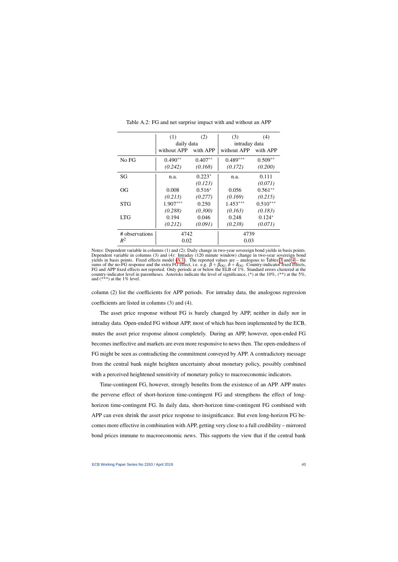|                | (1)         | (2)       | (3)           | (4)        |  |
|----------------|-------------|-----------|---------------|------------|--|
|                | daily data  |           | intraday data |            |  |
|                | without APP | with APP  | without APP   | with APP   |  |
| No FG          | $0.490**$   | $0.407**$ | $0.489***$    | $0.509**$  |  |
|                | (0.242)     | (0.168)   | (0.172)       | (0.200)    |  |
| SG             | n.a.        | $0.223*$  | n.a.          | 0.111      |  |
|                |             | (0.123)   |               | (0.071)    |  |
| OG             | 0.008       | $0.516*$  | 0.056         | $0.561**$  |  |
|                | (0.213)     | (0.277)   | (0.169)       | (0.215)    |  |
| STG            | $1.907***$  | 0.250     | $1.453***$    | $0.510***$ |  |
|                | (0.288)     | (0.300)   | (0.163)       | (0.183)    |  |
| <b>LTG</b>     | 0.194       | 0.046     | 0.248         | $0.124*$   |  |
|                | (0.212)     | (0.091)   | (0.238)       | (0.071)    |  |
| # observations | 4742        |           | 4739          |            |  |
| $R^2$          | 0.02        |           | 0.03          |            |  |

Table A.2: FG and net surprise impact with and without an APP

<span id="page-40-0"></span>Notes: Dependent variable in columns (1) and (2): Daily change in two-year sovereign bond yields in basis points. Dependent variable in columns (3) and (4): Intraday (120 minute window) change in two-year sovereign bond yields in basis points. Fixed effects model [\(A.1\)](#page-39-0). The reported values are – analogous to Tables [3](#page-19-0) and [4](#page-21-0) – the sums of the no-FG response and the extra FG effect, i.e. e.g.  $\beta + \beta_{OG}$ ,  $\delta + \delta_{OG}$ . Country-indicator fixed effects, FG and APP fixed effects not reported. Only periods at or below the ELB of 1%. Standard errors clustered at the country-indicator level in parentheses. Asterisks indicate the level of significance, (\*) at the 10%, (\*\*) at the 5%, and (\*\*\*) at the 1% level.

column (2) list the coefficients for APP periods. For intraday data, the analogous regression coefficients are listed in columns (3) and (4).

The asset price response without FG is barely changed by APP, neither in daily nor in intraday data. Open-ended FG without APP, most of which has been implemented by the ECB, mutes the asset price response almost completely. During an APP, however, open-ended FG becomes ineffective and markets are even more responsive to news then. The open-endedness of FG might be seen as contradicting the commitment conveyed by APP. A contradictory message from the central bank might heighten uncertainty about monetary policy, possibly combined with a perceived heightened sensitivity of monetary policy to macroeconomic indicators.

Time-contingent FG, however, strongly benefits from the existence of an APP. APP mutes the perverse effect of short-horizon time-contingent FG and strengthens the effect of longhorizon time-contingent FG. In daily data, short-horizon time-contingent FG combined with APP can even shrink the asset price response to insignificance. But even long-horizon FG becomes more effective in combination with APP, getting very close to a full credibility – mirrored bond prices immune to macroeconomic news. This supports the view that if the central bank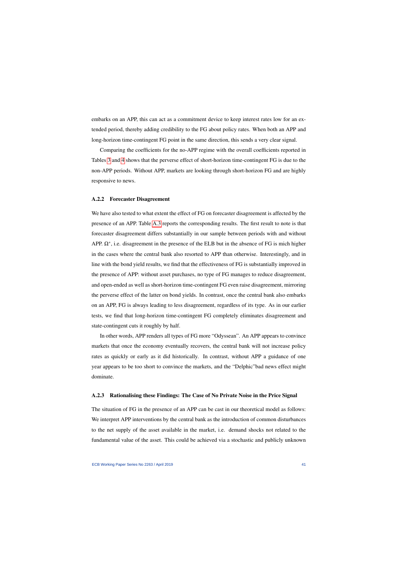embarks on an APP, this can act as a commitment device to keep interest rates low for an extended period, thereby adding credibility to the FG about policy rates. When both an APP and long-horizon time-contingent FG point in the same direction, this sends a very clear signal.

Comparing the coefficients for the no-APP regime with the overall coefficients reported in Tables [3](#page-19-0) and [4](#page-21-0) shows that the perverse effect of short-horizon time-contingent FG is due to the non-APP periods. Without APP, markets are looking through short-horizon FG and are highly responsive to news.

### A.2.2 Forecaster Disagreement

We have also tested to what extent the effect of FG on forecaster disagreement is affected by the presence of an APP. Table [A.3](#page-42-1) reports the corresponding results. The first result to note is that forecaster disagreement differs substantially in our sample between periods with and without APP.  $\Omega^*$ , i.e. disagreement in the presence of the ELB but in the absence of FG is mich higher in the cases where the central bank also resorted to APP than otherwise. Interestingly, and in line with the bond yield results, we find that the effectiveness of FG is substantially improved in the presence of APP: without asset purchases, no type of FG manages to reduce disagreement, and open-ended as well as short-horizon time-contingent FG even raise disagreement, mirroring the perverse effect of the latter on bond yields. In contrast, once the central bank also embarks on an APP, FG is always leading to less disagreement, regardless of its type. As in our earlier tests, we find that long-horizon time-contingent FG completely eliminates disagreement and state-contingent cuts it roughly by half.

In other words, APP renders all types of FG more "Odyssean". An APP appears to convince markets that once the economy eventually recovers, the central bank will not increase policy rates as quickly or early as it did historically. In contrast, without APP a guidance of one year appears to be too short to convince the markets, and the "Delphic"bad news effect might dominate.

### A.2.3 Rationalising these Findings: The Case of No Private Noise in the Price Signal

The situation of FG in the presence of an APP can be cast in our theoretical model as follows: We interpret APP interventions by the central bank as the introduction of common disturbances to the net supply of the asset available in the market, i.e. demand shocks not related to the fundamental value of the asset. This could be achieved via a stochastic and publicly unknown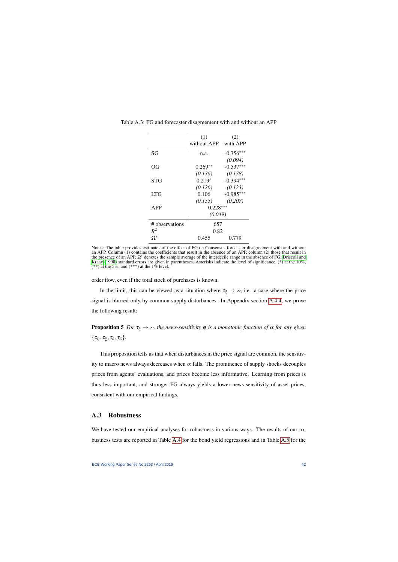|                | (1)         | (2)         |
|----------------|-------------|-------------|
|                | without APP | with APP    |
| SG             | n.a.        | $-0.356***$ |
|                |             | (0.094)     |
| OG             | $0.269**$   | $-0.537***$ |
|                | (0.136)     | (0.178)     |
| STG            | $0.219*$    | $-0.394***$ |
|                | (0.126)     | (0.123)     |
| <b>LTG</b>     | 0.106       | $-0.985***$ |
|                | (0.155)     | (0.207)     |
| APP            | $0.228***$  |             |
|                | (0.049)     |             |
| # observations | 657         |             |
| $R^2$          | 0.82        |             |
| $\Omega^*$     | 0.455       | 0.779       |

Table A.3: FG and forecaster disagreement with and without an APP

<span id="page-42-1"></span>Notes: The table provides estimates of the effect of FG on Consensus forecaster disagreement with and without an APP. Column (1) contains the coefficients that result in the absence of an APP, column (2) those that result in the presence of an APP.  $\Omega^*$  denotes the sample average of the interdecile range in the absence of FG. [Driscoll and](#page-35-18) [Kraay](#page-35-18) [\(1998\)](#page-35-18) standard errors are given in parentheses. Asterisks indicate the level of significance, (\*) at the 10%,  $(**)$  at the 5%, and  $(***)$  at the 1% level.

order flow, even if the total stock of purchases is known.

In the limit, this can be viewed as a situation where  $\tau_{\xi} \to \infty$ , i.e. a case where the price signal is blurred only by common supply disturbances. In Appendix section [A.4.4,](#page-50-0) we prove the following result:

**Proposition 5** *For*  $\tau_{\xi} \to \infty$ *, the news-sensitivity*  $\phi$  *is a monotonic function of*  $\alpha$  *for any given*  $\{\tau_{\eta}, \tau_{\xi}, \tau_{\varepsilon}, \tau_{\pi}\}.$ 

This proposition tells us that when disturbances in the price signal are common, the sensitivity to macro news always decreases when  $\alpha$  falls. The prominence of supply shocks decouples prices from agents' evaluations, and prices become less informative. Learning from prices is thus less important, and stronger FG always yields a lower news-sensitivity of asset prices, consistent with our empirical findings.

## A.3 Robustness

<span id="page-42-0"></span>We have tested our empirical analyses for robustness in various ways. The results of our robustness tests are reported in Table [A.4](#page-43-0) for the bond yield regressions and in Table [A.5](#page-46-0) for the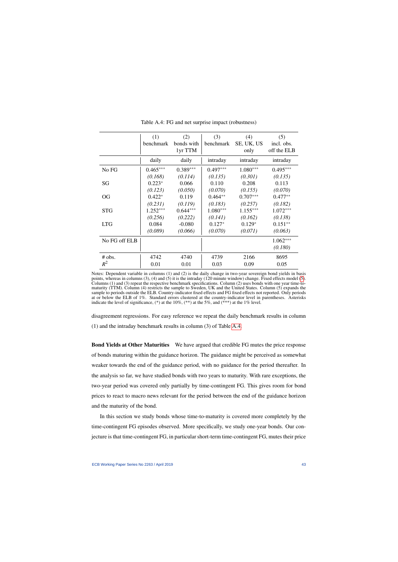<span id="page-43-0"></span>

|               | (1)        | (2)        | (3)        | (4)        | (5)         |
|---------------|------------|------------|------------|------------|-------------|
|               | benchmark  | bonds with | benchmark  | SE, UK, US | incl. obs.  |
|               |            | 1yr TTM    |            | only       | off the ELB |
|               | daily      | daily      | intraday   | intraday   | intraday    |
| No FG         | $0.465***$ | $0.389***$ | $0.497***$ | $1.080***$ | $0.495***$  |
|               | (0.168)    | (0.114)    | (0.135)    | (0.301)    | (0.135)     |
| SG            | $0.223*$   | 0.066      | 0.110      | 0.208      | 0.113       |
|               | (0.123)    | (0.050)    | (0.070)    | (0.155)    | (0.070)     |
| <b>OG</b>     | $0.422*$   | 0.119      | $0.464**$  | $0.707***$ | $0.477**$   |
|               | (0.231)    | (0.119)    | (0.183)    | (0.257)    | (0.182)     |
| <b>STG</b>    | $1.252***$ | $0.644***$ | $1.080***$ | $1.155***$ | $1.072***$  |
|               | (0.256)    | (0.222)    | (0.141)    | (0.162)    | (0.138)     |
| <b>LTG</b>    | 0.084      | $-0.080$   | $0.127*$   | $0.129*$   | $0.151**$   |
|               | (0.089)    | (0.066)    | (0.070)    | (0.071)    | (0.063)     |
| No FG off ELB |            |            |            |            | $1.062***$  |
|               |            |            |            |            | (0.180)     |
| $#$ obs.      | 4742       | 4740       | 4739       | 2166       | 8695        |
| $R^2$         | 0.01       | 0.01       | 0.03       | 0.09       | 0.05        |

Table A.4: FG and net surprise impact (robustness)

disagreement regressions. For easy reference we repeat the daily benchmark results in column (1) and the intraday benchmark results in column (3) of Table [A.4.](#page-43-0)

Bond Yields at Other Maturities We have argued that credible FG mutes the price response of bonds maturing within the guidance horizon. The guidance might be perceived as somewhat weaker towards the end of the guidance period, with no guidance for the period thereafter. In the analysis so far, we have studied bonds with two years to maturity. With rare exceptions, the two-year period was covered only partially by time-contingent FG. This gives room for bond prices to react to macro news relevant for the period between the end of the guidance horizon and the maturity of the bond.

In this section we study bonds whose time-to-maturity is covered more completely by the time-contingent FG episodes observed. More specifically, we study one-year bonds. Our conjecture is that time-contingent FG, in particular short-term time-contingent FG, mutes their price

Notes: Dependent variable in columns (1) and (2) is the daily change in two-year sovereign bond yields in basis points, whereas in columns (3), (4) and [\(5\)](#page-17-1) it is the intraday (120 minute window) change. Fixed effects model (5). Columns (1) and (3) repeat the respective benchmark specifications. Column (2) uses bonds with one year time-tomaturity (TTM). Column (4) restricts the sample to Sweden, UK and the United States. Column (5) expands the sample to periods outside the ELB. Country-indicator fixed effects and FG fixed effects not reported. Only periods at or below the ELB of 1%. Standard errors clustered at the country-indicator level in parentheses. Asterisks indicate the level of significance,  $(*)$  at the 10%,  $(**)$  at the 5%, and  $(***)$  at the 1% level.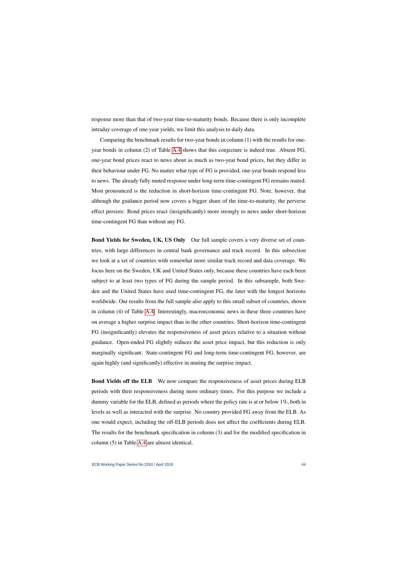response more than that of two-year time-to-maturity bonds. Because there is only incomplete intraday coverage of one-year yields, we limit this analysis to daily data.

Comparing the benchmark results for two-year bonds in column (1) with the results for oneyear bonds in column (2) of Table [A.4](#page-43-0) shows that this conjecture is indeed true. Absent FG, one-year bond prices react to news about as much as two-year bond prices, but they differ in their behaviour under FG. No matter what type of FG is provided, one-year bonds respond less to news. The already fully muted response under long-term time-contingent FG remains muted. Most pronounced is the reduction in short-horizon time-contingent FG. Note, however, that although the guidance period now covers a bigger share of the time-to-maturity, the perverse effect persists: Bond prices react (insignificantly) more strongly to news under short-horizon time-contingent FG than without any FG.

Bond Yields for Sweden, UK, US Only Our full sample covers a very diverse set of countries, with large differences in central bank governance and track record. In this subsection we look at a set of countries with somewhat more similar track record and data coverage. We focus here on the Sweden, UK and United States only, because these countries have each been subject to at least two types of FG during the sample period. In this subsample, both Sweden and the United States have used time-contingent FG, the later with the longest horizons worldwide. Our results from the full sample also apply to this small subset of countries, shown in column (4) of Table [A.4.](#page-43-0) Interestingly, macroeconomic news in these three countries have on average a higher surprise impact than in the other countries. Short-horizon time-contingent FG (insignificantly) elevates the responsiveness of asset prices relative to a situation without guidance. Open-ended FG slightly reduces the asset price impact, but this reduction is only marginally significant. State-contingent FG and long-term time-contingent FG, however, are again highly (and significantly) effective in muting the surprise impact.

Bond Yields off the ELB We now compare the responsiveness of asset prices during ELB periods with their responsiveness during more ordinary times. For this purpose we include a dummy variable for the ELB, defined as periods where the policy rate is at or below 1%, both in levels as well as interacted with the surprise. No country provided FG away from the ELB. As one would expect, including the off-ELB periods does not affect the coefficients during ELB. The results for the benchmark specification in column (3) and for the modified specification in column (5) in Table [A.4](#page-43-0) are almost identical.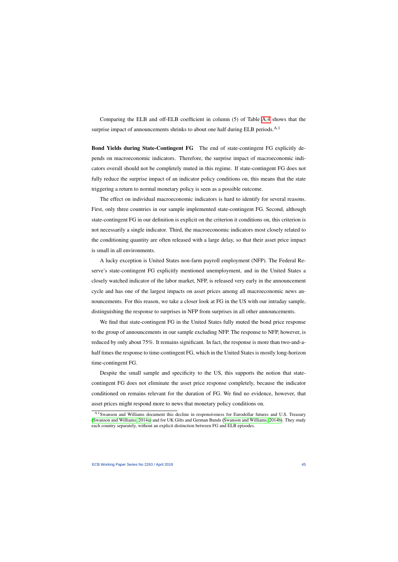Comparing the ELB and off-ELB coefficient in column (5) of Table [A.4](#page-43-0) shows that the surprise impact of announcements shrinks to about one half during ELB periods.<sup>A.1</sup>

Bond Yields during State-Contingent FG The end of state-contingent FG explicitly depends on macroeconomic indicators. Therefore, the surprise impact of macroeconomic indicators overall should not be completely muted in this regime. If state-contingent FG does not fully reduce the surprise impact of an indicator policy conditions on, this means that the state triggering a return to normal monetary policy is seen as a possible outcome.

The effect on individual macroeconomic indicators is hard to identify for several reasons. First, only three countries in our sample implemented state-contingent FG. Second, although state-contingent FG in our definition is explicit on the criterion it conditions on, this criterion is not necessarily a single indicator. Third, the macroeconomic indicators most closely related to the conditioning quantity are often released with a large delay, so that their asset price impact is small in all environments.

A lucky exception is United States non-farm payroll employment (NFP). The Federal Reserve's state-contingent FG explicitly mentioned unemployment, and in the United States a closely watched indicator of the labor market, NFP, is released very early in the announcement cycle and has one of the largest impacts on asset prices among all macroeconomic news announcements. For this reason, we take a closer look at FG in the US with our intraday sample, distinguishing the response to surprises in NFP from surprises in all other announcements.

We find that state-contingent FG in the United States fully muted the bond price response to the group of announcements in our sample excluding NFP. The response to NFP, however, is reduced by only about 75%. It remains significant. In fact, the response is more than two-and-ahalf times the response to time-contingent FG, which in the United States is mostly long-horizon time-contingent FG.

Despite the small sample and specificity to the US, this supports the notion that statecontingent FG does not eliminate the asset price response completely, because the indicator conditioned on remains relevant for the duration of FG. We find no evidence, however, that asset prices might respond more to news that monetary policy conditions on.

A.1Swanson and Williams document this decline in responsiveness for Eurodollar futures and U.S. Treasury [\(Swanson and Williams, 2014a\)](#page-36-0) and for UK Gilts and German Bunds [\(Swanson and Williams, 2014b\)](#page-36-2). They study each country separately, without an explicit distinction between FG and ELB episodes.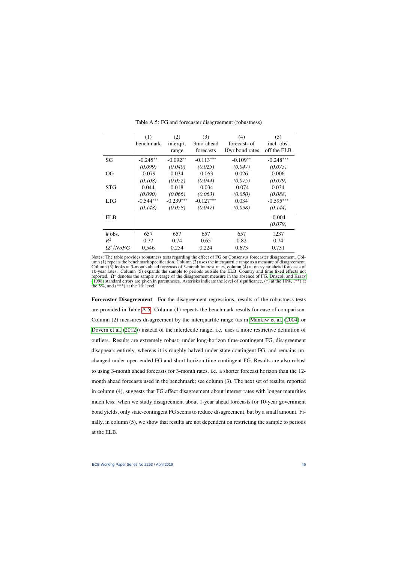|                   | (1)         | (2)         | (3)         | (4)             | (5)         |
|-------------------|-------------|-------------|-------------|-----------------|-------------|
|                   | benchmark   | intergrt.   | 3mo-ahead   | forecasts of    | incl. obs.  |
|                   |             | range       | forecasts   | 10yr bond rates | off the ELB |
| SG                | $-0.245**$  | $-0.092**$  | $-0.113***$ | $-0.109**$      | $-0.248***$ |
|                   | (0.099)     | (0.040)     | (0.025)     | (0.047)         | (0.075)     |
| <b>OG</b>         | $-0.079$    | 0.034       | $-0.063$    | 0.026           | 0.006       |
|                   | (0.108)     | (0.052)     | (0.044)     | (0.075)         | (0.079)     |
| <b>STG</b>        | 0.044       | 0.018       | $-0.034$    | $-0.074$        | 0.034       |
|                   | (0.090)     | (0.066)     | (0.063)     | (0.050)         | (0.088)     |
| <b>LTG</b>        | $-0.544***$ | $-0.239***$ | $-0.127***$ | 0.034           | $-0.595***$ |
|                   | (0.148)     | (0.058)     | (0.047)     | (0.098)         | (0.144)     |
| <b>ELB</b>        |             |             |             |                 | $-0.004$    |
|                   |             |             |             |                 | (0.079)     |
| $#$ obs.          | 657         | 657         | 657         | 657             | 1237        |
| $R^2$             | 0.77        | 0.74        | 0.65        | 0.82            | 0.74        |
| $\Omega^* / NoFG$ | 0.546       | 0.254       | 0.224       | 0.673           | 0.731       |

Table A.5: FG and forecaster disagreement (robustness)

<span id="page-46-0"></span>Notes: The table provides robustness tests regarding the effect of FG on Consensus forecaster disagreement. Column (1) repeats the benchmark specification. Column (2) uses the interquartile range as a measure of disagreement. Column  $(3)$  looks at 3-month ahead forecasts of 3-month interest rates, column  $(4)$  at one-year ahead forecasts of 10-year rates. Column (5) expands the sample to periods outside the ELB. Country and time fixed effects not reported. Ω<sup>∗</sup> denotes the sample average of the disagreement measure in the absence of FG. [Driscoll and Kraay](#page-35-18) [\(1998\)](#page-35-18) standard errors are given in parentheses. Asterisks indicate the level of significance, (\*) at the 10%, (\*\*) at the 5%, and (\*\*\*) at the  $1\%$  level.

Forecaster Disagreement For the disagreement regressions, results of the robustness tests are provided in Table [A.5.](#page-46-0) Column (1) repeats the benchmark results for ease of comparison. Column (2) measures disagreement by the interquartile range (as in [Mankiw et al.](#page-36-22) [\(2004\)](#page-36-22) or [Dovern et al.](#page-35-14) [\(2012\)](#page-35-14)) instead of the interdecile range, i.e. uses a more restrictive definition of outliers. Results are extremely robust: under long-horizon time-contingent FG, disagreement disappears entirely, whereas it is roughly halved under state-contingent FG, and remains unchanged under open-ended FG and short-horizon time-contingent FG. Results are also robust to using 3-month ahead forecasts for 3-month rates, i.e. a shorter forecast horizon than the 12 month ahead forecasts used in the benchmark; see column (3). The next set of results, reported in column (4), suggests that FG affect disagreement about interest rates with longer maturities much less: when we study disagreement about 1-year ahead forecasts for 10-year government bond yields, only state-contingent FG seems to reduce disagreement, but by a small amount. Finally, in column (5), we show that results are not dependent on restricting the sample to periods at the ELB.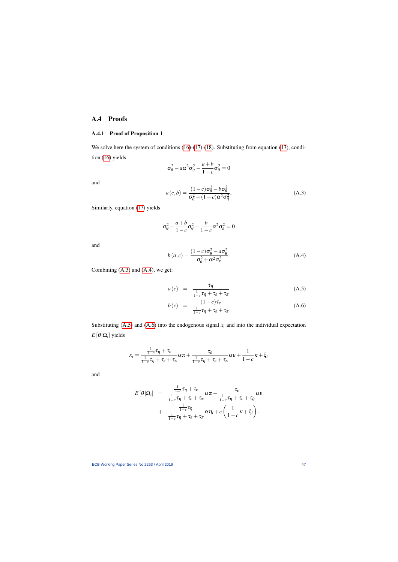## A.4 Proofs

## A.4.1 Proof of Proposition 1

We solve here the system of conditions [\(16\)](#page-28-4)-[\(17\)](#page-28-4)-[\(18\)](#page-28-4). Substituting from equation [\(13\)](#page-27-1), condition [\(16\)](#page-28-4) yields

$$
\sigma_{\theta}^2 - a\alpha^2 \sigma_{\eta}^2 - \frac{a+b}{1-c} \sigma_{\theta}^2 = 0
$$

and

$$
a(c,b) = \frac{(1-c)\sigma_{\theta}^2 - b\sigma_{\theta}^2}{\sigma_{\theta}^2 + (1-c)\alpha^2 \sigma_{\eta}^2},
$$
\n(A.3)

Similarly, equation [\(17\)](#page-28-4) yields

$$
\sigma_{\theta}^2 - \frac{a+b}{1-c}\sigma_{\theta}^2 - \frac{b}{1-c}\alpha^2\sigma_{\epsilon}^2 = 0
$$

and

$$
b(a,c) = \frac{(1-c)\sigma_{\theta}^2 - a\sigma_{\theta}^2}{\sigma_{\theta}^2 + \alpha^2 \sigma_{\epsilon}^2}.
$$
 (A.4)

<span id="page-47-0"></span>Combining [\(A.3\)](#page-47-0) and [\(A.4\)](#page-47-1), we get:

$$
a(c) = \frac{\tau_{\eta}}{\frac{1}{1-c}\tau_{\eta} + \tau_{\varepsilon} + \tau_{\pi}}
$$
 (A.5)

$$
b(c) = \frac{(1-c)\tau_{\varepsilon}}{\frac{1}{1-c}\tau_{\eta} + \tau_{\varepsilon} + \tau_{\pi}}
$$
(A.6)

<span id="page-47-1"></span>Substituting  $(A.5)$  and  $(A.6)$  into the endogenous signal  $x_i$  and into the individual expectation  $E\left[\left.\theta\right|\Omega_i\right]$  yields

$$
x_i = \frac{\frac{1}{1-c}\tau_{\eta} + \tau_{\varepsilon}}{\frac{1}{1-c}\tau_{\eta} + \tau_{\varepsilon} + \tau_{\pi}}\alpha\pi + \frac{\tau_{\varepsilon}}{\frac{1}{1-c}\tau_{\eta} + \tau_{\varepsilon} + \tau_{\pi}}\alpha\varepsilon + \frac{1}{1-c}\kappa + \xi_i
$$

<span id="page-47-2"></span>and

$$
E[\theta|\Omega_i] = \frac{\frac{1}{1-c}\tau_{\eta} + \tau_{\varepsilon}}{\frac{1}{1-c}\tau_{\eta} + \tau_{\varepsilon} + \tau_{\pi}}\alpha\pi + \frac{\tau_{\varepsilon}}{\frac{1}{1-c}\tau_{\eta} + \tau_{\varepsilon} + \tau_{\theta}}\alpha\varepsilon
$$
  
+ 
$$
\frac{\frac{1}{1-c}\tau_{\eta}}{\frac{1}{1-c}\tau_{\eta} + \tau_{\varepsilon} + \tau_{\pi}}\alpha\eta_i + c\left(\frac{1}{1-c}\kappa + \xi_i\right).
$$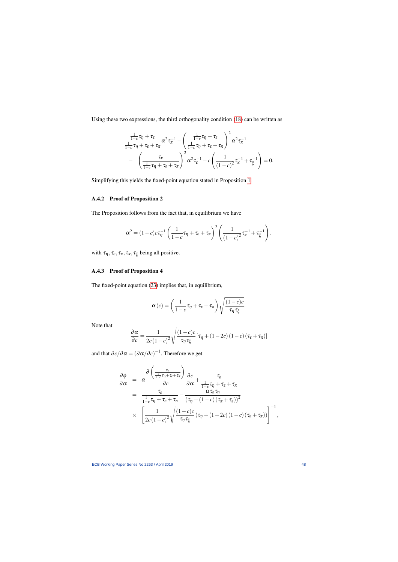Using these two expressions, the third orthogonality condition [\(18\)](#page-28-4) can be written as

$$
\frac{\frac{1}{1-c}\tau_{\eta}+\tau_{\varepsilon}}{\frac{1}{1-c}\tau_{\eta}+\tau_{\varepsilon}+\tau_{\pi}}\alpha^2\tau_{\pi}^{-1}-\left(\frac{\frac{1}{1-c}\tau_{\eta}+\tau_{\varepsilon}}{\frac{1}{1-c}\tau_{\eta}+\tau_{\varepsilon}+\tau_{\pi}}\right)^2\alpha^2\tau_{\pi}^{-1}
$$
\n
$$
-\left(\frac{\tau_{\varepsilon}}{\frac{1}{1-c}\tau_{\eta}+\tau_{\varepsilon}+\tau_{\pi}}\right)^2\alpha^2\tau_{\varepsilon}^{-1}-c\left(\frac{1}{(1-c)^2}\tau_{\kappa}^{-1}+\tau_{\xi}^{-1}\right)=0.
$$

Simplifying this yields the fixed-point equation stated in Proposition [1.](#page-28-3)

## A.4.2 Proof of Proposition 2

The Proposition follows from the fact that, in equilibrium we have

$$
\alpha^2 = (1-c)c\tau_{\eta}^{-1}\left(\frac{1}{1-c}\tau_{\eta} + \tau_{\varepsilon} + \tau_{\pi}\right)^2 \left(\frac{1}{(1-c)^2}\tau_{\kappa}^{-1} + \tau_{\xi}^{-1}\right).
$$

with  $\tau_{\eta}, \tau_{\varepsilon}, \tau_{\pi}, \tau_{\kappa}, \tau_{\xi}$  being all positive.

### A.4.3 Proof of Proposition 4

The fixed-point equation [\(23\)](#page-30-1) implies that, in equilibrium,

$$
\alpha(c) = \left(\frac{1}{1-c}\tau_{\eta} + \tau_{\varepsilon} + \tau_{\pi}\right)\sqrt{\frac{(1-c)c}{\tau_{\eta}\tau_{\xi}}}.
$$

Note that

$$
\frac{\partial \alpha}{\partial c} = \frac{1}{2c(1-c)^2} \sqrt{\frac{(1-c)c}{\tau_{\eta} \tau_{\xi}}} \left[ \tau_{\eta} + (1-2c)(1-c)(\tau_{\varepsilon} + \tau_{\pi}) \right]
$$

and that  $\partial c/\partial \alpha = (\partial \alpha/\partial c)^{-1}$ . Therefore we get

$$
\frac{\partial \phi}{\partial \alpha} = \alpha \frac{\partial \left(\frac{\tau_{\varepsilon}}{1-c} \tau_{\eta} + \tau_{\varepsilon} + \tau_{\pi}\right)}{\partial c} \frac{\partial c}{\partial \alpha} + \frac{\tau_{\varepsilon}}{\frac{1}{1-c} \tau_{\eta} + \tau_{\varepsilon} + \tau_{\pi}} \n= \frac{\tau_{\varepsilon}}{\frac{1}{1-c} \tau_{\eta} + \tau_{\varepsilon} + \tau_{\pi}} - \frac{\alpha \tau_{\varepsilon} \tau_{\eta}}{(\tau_{\eta} + (1-c) (\tau_{\pi} + \tau_{\varepsilon}))^2} \n\times \left[\frac{1}{2c(1-c)^2} \sqrt{\frac{(1-c)c}{\tau_{\eta} \tau_{\xi}}} (\tau_{\eta} + (1-2c) (1-c) (\tau_{\varepsilon} + \tau_{\pi}))\right]^{-1},
$$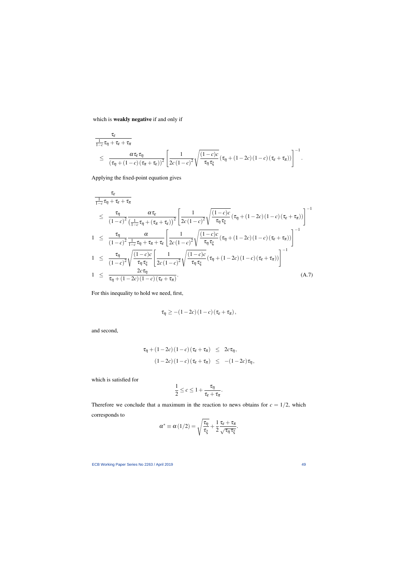which is weakly negative if and only if

$$
\frac{\tau_{\varepsilon}}{\frac{1}{1-c}\tau_{\eta}+\tau_{\varepsilon}+\tau_{\pi}}\n\leq \frac{\alpha \tau_{\varepsilon}\tau_{\eta}}{(\tau_{\eta}+(1-c)(\tau_{\pi}+\tau_{\varepsilon}))^2}\left[\frac{1}{2c(1-c)^2}\sqrt{\frac{(1-c)c}{\tau_{\eta}\tau_{\xi}}}(\tau_{\eta}+(1-2c)(1-c)(\tau_{\varepsilon}+\tau_{\pi}))\right]^{-1}.
$$

Applying the fixed-point equation gives

$$
\frac{\tau_{\varepsilon}}{\frac{1}{1-c}\tau_{\eta} + \tau_{\varepsilon} + \tau_{\pi}}\n\leq \frac{\tau_{\eta}}{(1-c)^2} \frac{\alpha \tau_{\varepsilon}}{\left(\frac{1}{1-c}\tau_{\eta} + (\tau_{\pi} + \tau_{\varepsilon})\right)^2} \left[\frac{1}{2c(1-c)^2} \sqrt{\frac{(1-c)c}{\tau_{\eta}} \tau_{\xi}} (\tau_{\eta} + (1-2c)(1-c)(\tau_{\varepsilon} + \tau_{\pi}))\right]^{-1}\n\n1 \leq \frac{\tau_{\eta}}{(1-c)^2} \frac{\alpha}{\frac{1}{1-c}\tau_{\eta} + \tau_{\pi} + \tau_{\varepsilon}} \left[\frac{1}{2c(1-c)^2} \sqrt{\frac{(1-c)c}{\tau_{\eta}} \tau_{\xi}} (\tau_{\eta} + (1-2c)(1-c)(\tau_{\varepsilon} + \tau_{\pi}))\right]^{-1}\n\n1 \leq \frac{\tau_{\eta}}{(1-c)^2} \sqrt{\frac{(1-c)c}{\tau_{\eta} \tau_{\xi}}} \left[\frac{1}{2c(1-c)^2} \sqrt{\frac{(1-c)c}{\tau_{\eta} \tau_{\xi}}} (\tau_{\eta} + (1-2c)(1-c)(\tau_{\varepsilon} + \tau_{\pi}))\right]^{-1}\n\n2c\tau_{\eta}\n\n1 \leq \frac{2c\tau_{\eta}}{\tau_{\eta} + (1-2c)(1-c)(\tau_{\varepsilon} + \tau_{\pi})}.
$$
\n(A.7)

<span id="page-49-0"></span>For this inequality to hold we need, first,

$$
\tau_{\eta} \geq -(1-2c)(1-c)(\tau_{\varepsilon}+\tau_{\pi}),
$$

and second,

$$
\tau_{\eta} + (1 - 2c) (1 - c) (\tau_{\varepsilon} + \tau_{\pi}) \leq 2c \tau_{\eta},
$$
  

$$
(1 - 2c) (1 - c) (\tau_{\varepsilon} + \tau_{\pi}) \leq -(1 - 2c) \tau_{\eta},
$$

which is satisfied for

$$
\frac{1}{2} \leq c \leq 1 + \frac{\tau_{\eta}}{\tau_{\varepsilon} + \tau_{\pi}}.
$$

Therefore we conclude that a maximum in the reaction to news obtains for  $c = 1/2$ , which corresponds to

$$
\alpha^* \equiv \alpha(1/2) = \sqrt{\frac{\tau_\eta}{\tau_\xi}} + \frac{1}{2} \frac{\tau_\varepsilon + \tau_\pi}{\sqrt{\tau_\eta \tau_\xi}}.
$$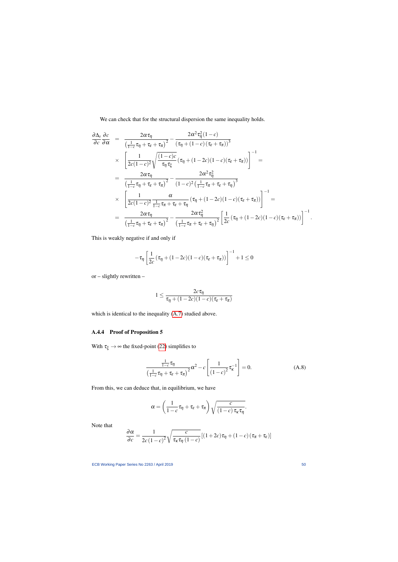We can check that for the structural dispersion the same inequality holds.

$$
\frac{\partial \Delta_{s}}{\partial c} \frac{\partial c}{\partial \alpha} = \frac{2\alpha \tau_{\eta}}{\left(\frac{1}{1-c}\tau_{\eta} + \tau_{\epsilon} + \tau_{\pi}\right)^{2}} - \frac{2\alpha^{2} \tau_{\eta}^{2}(1-c)}{\left(\tau_{\eta} + (1-c)(\tau_{\epsilon} + \tau_{\pi})\right)^{3}}
$$
\n
$$
\times \left[\frac{1}{2c(1-c)^{2}} \sqrt{\frac{(1-c)c}{\tau_{\eta} \tau_{\xi}}} \left(\tau_{\eta} + (1-2c)(1-c)(\tau_{\epsilon} + \tau_{\pi})\right)\right]^{-1} =
$$
\n
$$
= \frac{2\alpha \tau_{\eta}}{\left(\frac{1}{1-c}\tau_{\eta} + \tau_{\epsilon} + \tau_{\pi}\right)^{2}} - \frac{2\alpha^{2} \tau_{\eta}^{2}}{(1-c)^{2}\left(\frac{1}{1-c}\tau_{\pi} + \tau_{\epsilon} + \tau_{\eta}\right)^{3}}
$$
\n
$$
\times \left[\frac{1}{2c(1-c)^{2}} \frac{\alpha}{\frac{1}{1-c}\tau_{\pi} + \tau_{\epsilon} + \tau_{\eta}} \left(\tau_{\eta} + (1-2c)(1-c)(\tau_{\epsilon} + \tau_{\pi})\right)\right]^{-1} =
$$
\n
$$
= \frac{2\alpha \tau_{\eta}}{\left(\frac{1}{1-c}\tau_{\eta} + \tau_{\epsilon} + \tau_{\pi}\right)^{2}} - \frac{2\alpha \tau_{\eta}^{2}}{\left(\frac{1}{1-c}\tau_{\pi} + \tau_{\epsilon} + \tau_{\eta}\right)^{2}} \left[\frac{1}{2c}(\tau_{\eta} + (1-2c)(1-c)(\tau_{\epsilon} + \tau_{\pi}))\right]^{-1}.
$$

This is weakly negative if and only if

$$
-\tau_{\eta}\left[\frac{1}{2c}\left(\tau_{\eta}+(1-2c)(1-c)(\tau_{\varepsilon}+\tau_{\pi})\right)\right]^{-1}+1\leq 0
$$

or – slightly rewritten –

$$
1 \leq \frac{2c\tau_\eta}{\tau_\eta + (1-2c)(1-c)(\tau_\varepsilon + \tau_\pi)}
$$

which is identical to the inequality [\(A.7\)](#page-49-0) studied above.

## A.4.4 Proof of Proposition 5

With  $\tau_{\xi} \rightarrow \infty$  the fixed-point [\(22\)](#page-28-0) simplifies to

$$
\frac{\frac{1}{1-c}\tau_{\eta}}{\left(\frac{1}{1-c}\tau_{\eta} + \tau_{\varepsilon} + \tau_{\pi}\right)^2} \alpha^2 - c \left[\frac{1}{\left(1-c\right)^2} \tau_{\kappa}^{-1}\right] = 0. \tag{A.8}
$$

From this, we can deduce that, in equilibrium, we have

$$
\alpha = \left(\frac{1}{1-c}\tau_{\eta} + \tau_{\varepsilon} + \tau_{\pi}\right)\sqrt{\frac{c}{(1-c)\,\tau_{\kappa}\tau_{\eta}}}.
$$

<span id="page-50-0"></span>Note that

$$
\frac{\partial \alpha}{\partial c} = \frac{1}{2c(1-c)^2} \sqrt{\frac{c}{\tau_{\kappa} \tau_{\eta} (1-c)}} [(1+2c)\tau_{\eta} + (1-c)(\tau_{\pi} + \tau_{\varepsilon})]
$$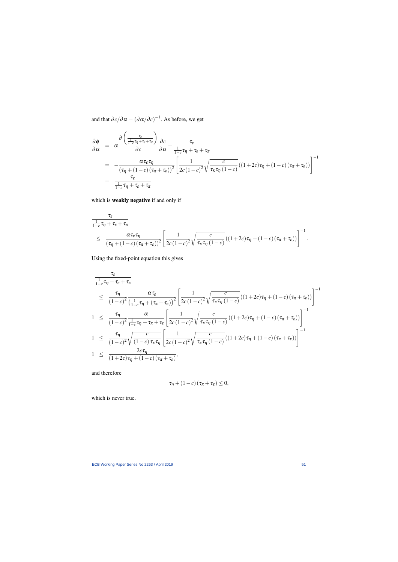and that  $\partial c/\partial \alpha = (\partial \alpha/\partial c)^{-1}$ . As before, we get

$$
\frac{\partial \phi}{\partial \alpha} = \alpha \frac{\partial \left(\frac{\tau_{\varepsilon}}{1-c} \tau_{\eta} + \tau_{\varepsilon} + \tau_{\pi}\right)}{\partial c} \frac{\partial c}{\partial \alpha} + \frac{\tau_{\varepsilon}}{1-c} \tau_{\eta} + \tau_{\varepsilon} + \tau_{\pi}
$$
\n
$$
= - \frac{\alpha \tau_{\varepsilon} \tau_{\eta}}{(\tau_{\eta} + (1-c)(\tau_{\pi} + \tau_{\varepsilon}))^{2}} \left[\frac{1}{2c(1-c)^{2}} \sqrt{\frac{c}{\tau_{\kappa} \tau_{\eta} (1-c)}} ((1+2c)\tau_{\eta} + (1-c)(\tau_{\pi} + \tau_{\varepsilon}))\right]^{-1}
$$
\n
$$
+ \frac{\tau_{\varepsilon}}{\frac{1}{1-c} \tau_{\eta} + \tau_{\varepsilon} + \tau_{\pi}}
$$

which is weakly negative if and only if

$$
\frac{\tau_{\varepsilon}}{\frac{1}{1-c}\tau_{\eta}+\tau_{\varepsilon}+\tau_{\pi}}\n\leq \frac{\alpha \tau_{\varepsilon}\tau_{\eta}}{(\tau_{\eta}+(1-c)(\tau_{\pi}+\tau_{\varepsilon}))^2}\left[\frac{1}{2c(1-c)^2}\sqrt{\frac{c}{\tau_{\kappa}\tau_{\eta}(1-c)}}\left((1+2c)\tau_{\eta}+(1-c)(\tau_{\pi}+\tau_{\varepsilon})\right)\right]^{-1}.
$$

Using the fixed-point equation this gives

$$
\frac{\tau_{\varepsilon}}{\frac{1}{1-c}\tau_{\eta} + \tau_{\varepsilon} + \tau_{\pi}}\n\leq \frac{\tau_{\eta}}{(1-c)^2} \frac{\alpha \tau_{\varepsilon}}{\left(\frac{1}{1-c}\tau_{\eta} + (\tau_{\pi} + \tau_{\varepsilon})\right)^2} \left[\frac{1}{2c(1-c)^2} \sqrt{\frac{c}{\tau_{\kappa}\tau_{\eta}} \frac{c}{(1-c)}} \left((1+2c)\tau_{\eta} + (1-c)(\tau_{\pi} + \tau_{\varepsilon})\right)\right]^{-1}\n\n1 \leq \frac{\tau_{\eta}}{(1-c)^2} \frac{\alpha}{\frac{1}{1-c}\tau_{\eta} + \tau_{\pi} + \tau_{\varepsilon}} \left[\frac{1}{2c(1-c)^2} \sqrt{\frac{c}{\tau_{\kappa}\tau_{\eta}} \frac{c}{(1-c)}} \left((1+2c)\tau_{\eta} + (1-c)(\tau_{\pi} + \tau_{\varepsilon})\right)\right]^{-1}\n\n1 \leq \frac{\tau_{\eta}}{(1-c)^2} \sqrt{\frac{c}{(1-c)\tau_{\kappa}\tau_{\eta}}} \left[\frac{1}{2c(1-c)^2} \sqrt{\frac{c}{\tau_{\kappa}\tau_{\eta}} \frac{c}{(1-c)}} \left((1+2c)\tau_{\eta} + (1-c)(\tau_{\pi} + \tau_{\varepsilon})\right)\right]^{-1}\n\n2c\tau_{\eta}\n\n1 \leq \frac{2c\tau_{\eta}}{(1+2c)\tau_{\eta} + (1-c)(\tau_{\pi} + \tau_{\varepsilon})},
$$

and therefore

$$
\tau_{\eta} + (1 - c) (\tau_{\pi} + \tau_{\varepsilon}) \leq 0,
$$

which is never true.